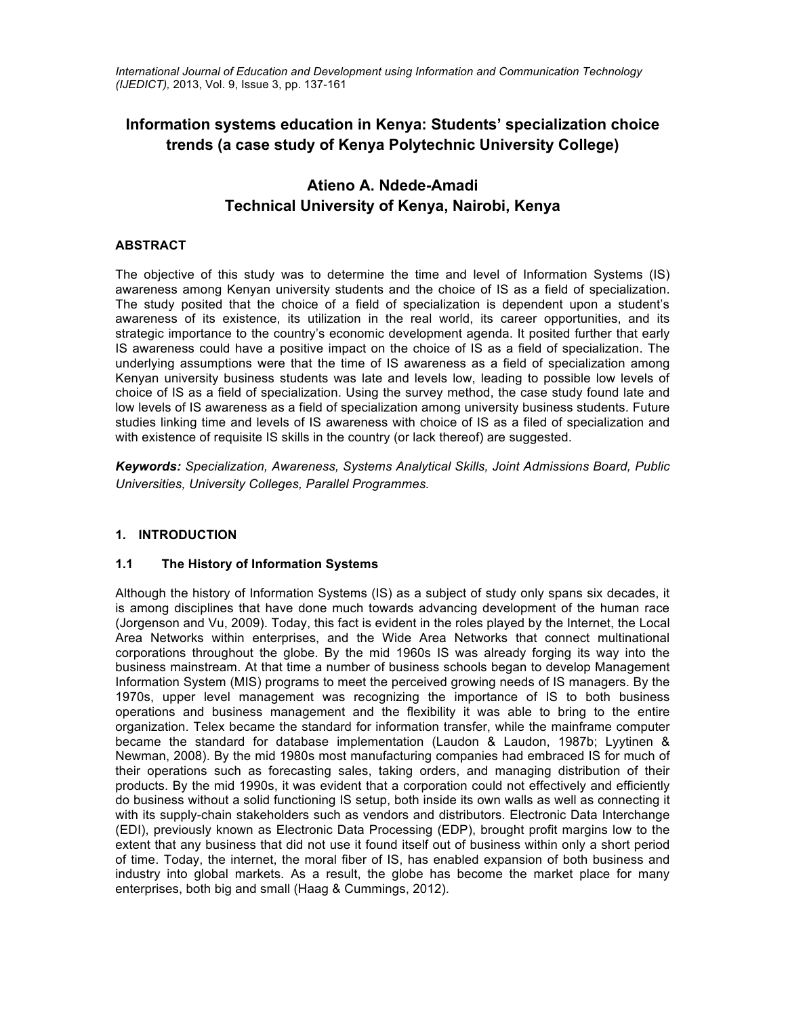*International Journal of Education and Development using Information and Communication Technology (IJEDICT),* 2013, Vol. 9, Issue 3, pp. 137-161

# **Information systems education in Kenya: Students' specialization choice trends (a case study of Kenya Polytechnic University College)**

# **Atieno A. Ndede-Amadi Technical University of Kenya, Nairobi, Kenya**

# **ABSTRACT**

The objective of this study was to determine the time and level of Information Systems (IS) awareness among Kenyan university students and the choice of IS as a field of specialization. The study posited that the choice of a field of specialization is dependent upon a student's awareness of its existence, its utilization in the real world, its career opportunities, and its strategic importance to the country's economic development agenda. It posited further that early IS awareness could have a positive impact on the choice of IS as a field of specialization. The underlying assumptions were that the time of IS awareness as a field of specialization among Kenyan university business students was late and levels low, leading to possible low levels of choice of IS as a field of specialization. Using the survey method, the case study found late and low levels of IS awareness as a field of specialization among university business students. Future studies linking time and levels of IS awareness with choice of IS as a filed of specialization and with existence of requisite IS skills in the country (or lack thereof) are suggested.

*Keywords: Specialization, Awareness, Systems Analytical Skills, Joint Admissions Board, Public Universities, University Colleges, Parallel Programmes.*

### **1. INTRODUCTION**

### **1.1 The History of Information Systems**

Although the history of Information Systems (IS) as a subject of study only spans six decades, it is among disciplines that have done much towards advancing development of the human race (Jorgenson and Vu, 2009). Today, this fact is evident in the roles played by the Internet, the Local Area Networks within enterprises, and the Wide Area Networks that connect multinational corporations throughout the globe. By the mid 1960s IS was already forging its way into the business mainstream. At that time a number of business schools began to develop Management Information System (MIS) programs to meet the perceived growing needs of IS managers. By the 1970s, upper level management was recognizing the importance of IS to both business operations and business management and the flexibility it was able to bring to the entire organization. Telex became the standard for information transfer, while the mainframe computer became the standard for database implementation (Laudon & Laudon, 1987b; Lyytinen & Newman, 2008). By the mid 1980s most manufacturing companies had embraced IS for much of their operations such as forecasting sales, taking orders, and managing distribution of their products. By the mid 1990s, it was evident that a corporation could not effectively and efficiently do business without a solid functioning IS setup, both inside its own walls as well as connecting it with its supply-chain stakeholders such as vendors and distributors. Electronic Data Interchange (EDI), previously known as Electronic Data Processing (EDP), brought profit margins low to the extent that any business that did not use it found itself out of business within only a short period of time. Today, the internet, the moral fiber of IS, has enabled expansion of both business and industry into global markets. As a result, the globe has become the market place for many enterprises, both big and small (Haag & Cummings, 2012).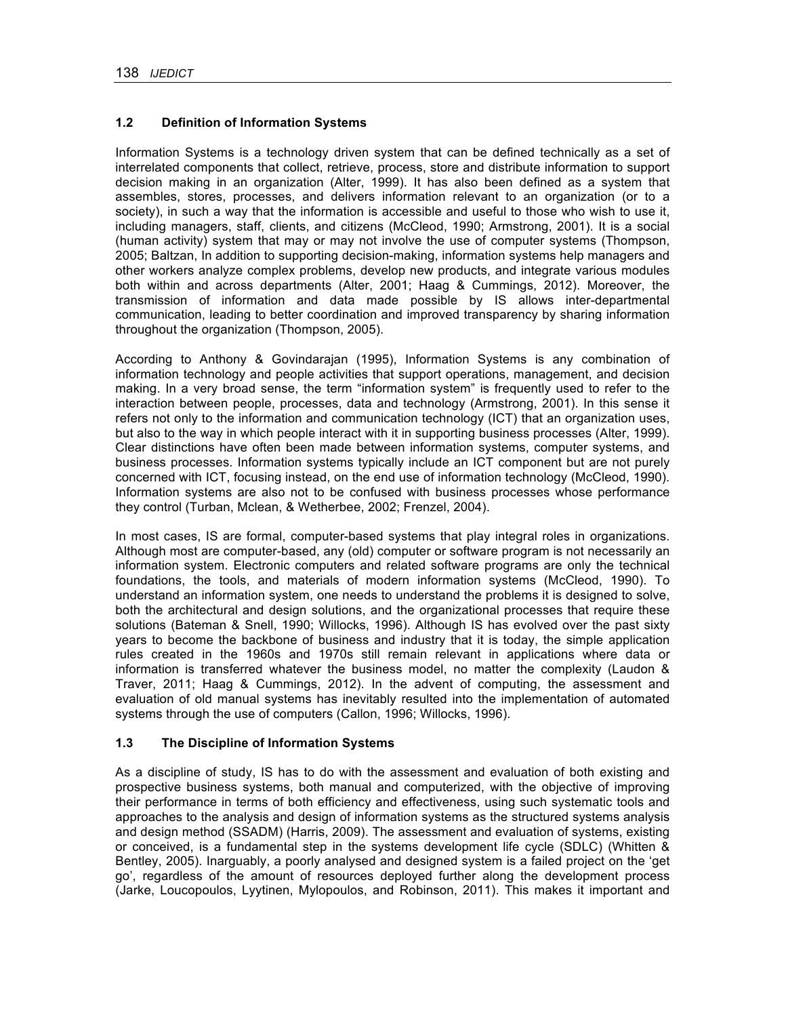### **1.2 Definition of Information Systems**

Information Systems is a technology driven system that can be defined technically as a set of interrelated components that collect, retrieve, process, store and distribute information to support decision making in an organization (Alter, 1999). It has also been defined as a system that assembles, stores, processes, and delivers information relevant to an organization (or to a society), in such a way that the information is accessible and useful to those who wish to use it, including managers, staff, clients, and citizens (McCleod, 1990; Armstrong, 2001). It is a social (human activity) system that may or may not involve the use of computer systems (Thompson, 2005; Baltzan, In addition to supporting decision-making, information systems help managers and other workers analyze complex problems, develop new products, and integrate various modules both within and across departments (Alter, 2001; Haag & Cummings, 2012). Moreover, the transmission of information and data made possible by IS allows inter-departmental communication, leading to better coordination and improved transparency by sharing information throughout the organization (Thompson, 2005).

According to Anthony & Govindarajan (1995), Information Systems is any combination of information technology and people activities that support operations, management, and decision making. In a very broad sense, the term "information system" is frequently used to refer to the interaction between people, processes, data and technology (Armstrong, 2001). In this sense it refers not only to the information and communication technology (ICT) that an organization uses, but also to the way in which people interact with it in supporting business processes (Alter, 1999). Clear distinctions have often been made between information systems, computer systems, and business processes. Information systems typically include an ICT component but are not purely concerned with ICT, focusing instead, on the end use of information technology (McCleod, 1990). Information systems are also not to be confused with business processes whose performance they control (Turban, Mclean, & Wetherbee, 2002; Frenzel, 2004).

In most cases, IS are formal, computer-based systems that play integral roles in organizations. Although most are computer-based, any (old) computer or software program is not necessarily an information system. Electronic computers and related software programs are only the technical foundations, the tools, and materials of modern information systems (McCleod, 1990). To understand an information system, one needs to understand the problems it is designed to solve, both the architectural and design solutions, and the organizational processes that require these solutions (Bateman & Snell, 1990; Willocks, 1996). Although IS has evolved over the past sixty years to become the backbone of business and industry that it is today, the simple application rules created in the 1960s and 1970s still remain relevant in applications where data or information is transferred whatever the business model, no matter the complexity (Laudon & Traver, 2011; Haag & Cummings, 2012). In the advent of computing, the assessment and evaluation of old manual systems has inevitably resulted into the implementation of automated systems through the use of computers (Callon, 1996; Willocks, 1996).

### **1.3 The Discipline of Information Systems**

As a discipline of study, IS has to do with the assessment and evaluation of both existing and prospective business systems, both manual and computerized, with the objective of improving their performance in terms of both efficiency and effectiveness, using such systematic tools and approaches to the analysis and design of information systems as the structured systems analysis and design method (SSADM) (Harris, 2009). The assessment and evaluation of systems, existing or conceived, is a fundamental step in the systems development life cycle (SDLC) (Whitten & Bentley, 2005). Inarguably, a poorly analysed and designed system is a failed project on the 'get go', regardless of the amount of resources deployed further along the development process (Jarke, Loucopoulos, Lyytinen, Mylopoulos, and Robinson, 2011). This makes it important and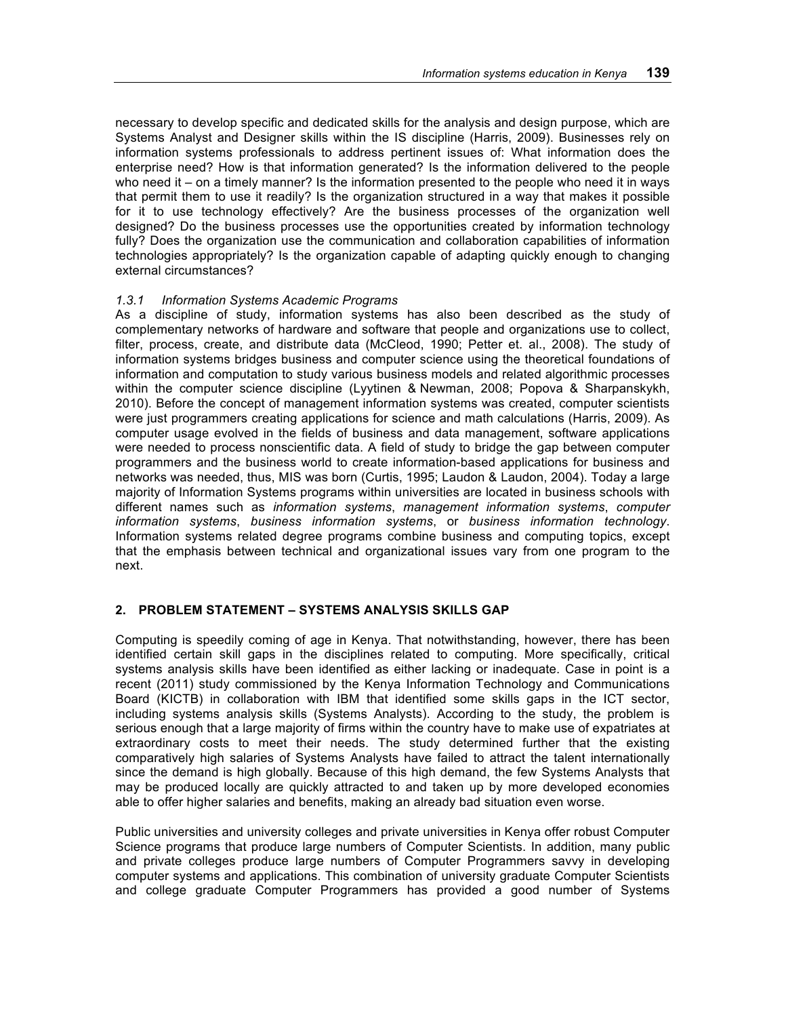necessary to develop specific and dedicated skills for the analysis and design purpose, which are Systems Analyst and Designer skills within the IS discipline (Harris, 2009). Businesses rely on information systems professionals to address pertinent issues of: What information does the enterprise need? How is that information generated? Is the information delivered to the people who need it – on a timely manner? Is the information presented to the people who need it in ways that permit them to use it readily? Is the organization structured in a way that makes it possible for it to use technology effectively? Are the business processes of the organization well designed? Do the business processes use the opportunities created by information technology fully? Does the organization use the communication and collaboration capabilities of information technologies appropriately? Is the organization capable of adapting quickly enough to changing external circumstances?

### *1.3.1 Information Systems Academic Programs*

As a discipline of study, information systems has also been described as the study of complementary networks of hardware and software that people and organizations use to collect, filter, process, create, and distribute data (McCleod, 1990; Petter et. al., 2008). The study of information systems bridges business and computer science using the theoretical foundations of information and computation to study various business models and related algorithmic processes within the computer science discipline (Lyytinen & Newman, 2008; Popova & Sharpanskykh, 2010). Before the concept of management information systems was created, computer scientists were just programmers creating applications for science and math calculations (Harris, 2009). As computer usage evolved in the fields of business and data management, software applications were needed to process nonscientific data. A field of study to bridge the gap between computer programmers and the business world to create information-based applications for business and networks was needed, thus, MIS was born (Curtis, 1995; Laudon & Laudon, 2004). Today a large majority of Information Systems programs within universities are located in business schools with different names such as *information systems*, *management information systems*, *computer information systems*, *business information systems*, or *business information technology*. Information systems related degree programs combine business and computing topics, except that the emphasis between technical and organizational issues vary from one program to the next.

### **2. PROBLEM STATEMENT – SYSTEMS ANALYSIS SKILLS GAP**

Computing is speedily coming of age in Kenya. That notwithstanding, however, there has been identified certain skill gaps in the disciplines related to computing. More specifically, critical systems analysis skills have been identified as either lacking or inadequate. Case in point is a recent (2011) study commissioned by the Kenya Information Technology and Communications Board (KICTB) in collaboration with IBM that identified some skills gaps in the ICT sector, including systems analysis skills (Systems Analysts). According to the study, the problem is serious enough that a large majority of firms within the country have to make use of expatriates at extraordinary costs to meet their needs. The study determined further that the existing comparatively high salaries of Systems Analysts have failed to attract the talent internationally since the demand is high globally. Because of this high demand, the few Systems Analysts that may be produced locally are quickly attracted to and taken up by more developed economies able to offer higher salaries and benefits, making an already bad situation even worse.

Public universities and university colleges and private universities in Kenya offer robust Computer Science programs that produce large numbers of Computer Scientists. In addition, many public and private colleges produce large numbers of Computer Programmers savvy in developing computer systems and applications. This combination of university graduate Computer Scientists and college graduate Computer Programmers has provided a good number of Systems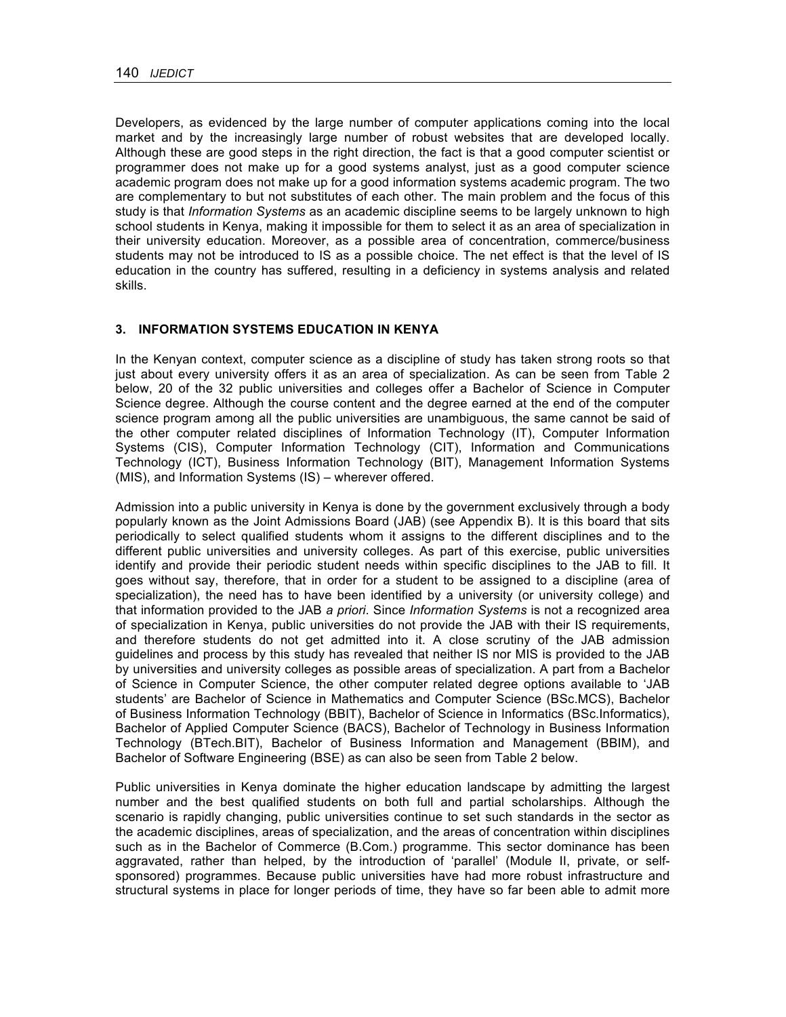Developers, as evidenced by the large number of computer applications coming into the local market and by the increasingly large number of robust websites that are developed locally. Although these are good steps in the right direction, the fact is that a good computer scientist or programmer does not make up for a good systems analyst, just as a good computer science academic program does not make up for a good information systems academic program. The two are complementary to but not substitutes of each other. The main problem and the focus of this study is that *Information Systems* as an academic discipline seems to be largely unknown to high school students in Kenya, making it impossible for them to select it as an area of specialization in their university education. Moreover, as a possible area of concentration, commerce/business students may not be introduced to IS as a possible choice. The net effect is that the level of IS education in the country has suffered, resulting in a deficiency in systems analysis and related skills.

### **3. INFORMATION SYSTEMS EDUCATION IN KENYA**

In the Kenyan context, computer science as a discipline of study has taken strong roots so that just about every university offers it as an area of specialization. As can be seen from Table 2 below, 20 of the 32 public universities and colleges offer a Bachelor of Science in Computer Science degree. Although the course content and the degree earned at the end of the computer science program among all the public universities are unambiguous, the same cannot be said of the other computer related disciplines of Information Technology (IT), Computer Information Systems (CIS), Computer Information Technology (CIT), Information and Communications Technology (ICT), Business Information Technology (BIT), Management Information Systems (MIS), and Information Systems (IS) – wherever offered.

Admission into a public university in Kenya is done by the government exclusively through a body popularly known as the Joint Admissions Board (JAB) (see Appendix B). It is this board that sits periodically to select qualified students whom it assigns to the different disciplines and to the different public universities and university colleges. As part of this exercise, public universities identify and provide their periodic student needs within specific disciplines to the JAB to fill. It goes without say, therefore, that in order for a student to be assigned to a discipline (area of specialization), the need has to have been identified by a university (or university college) and that information provided to the JAB *a priori*. Since *Information Systems* is not a recognized area of specialization in Kenya, public universities do not provide the JAB with their IS requirements, and therefore students do not get admitted into it. A close scrutiny of the JAB admission guidelines and process by this study has revealed that neither IS nor MIS is provided to the JAB by universities and university colleges as possible areas of specialization. A part from a Bachelor of Science in Computer Science, the other computer related degree options available to 'JAB students' are Bachelor of Science in Mathematics and Computer Science (BSc.MCS), Bachelor of Business Information Technology (BBIT), Bachelor of Science in Informatics (BSc.Informatics), Bachelor of Applied Computer Science (BACS), Bachelor of Technology in Business Information Technology (BTech.BIT), Bachelor of Business Information and Management (BBIM), and Bachelor of Software Engineering (BSE) as can also be seen from Table 2 below.

Public universities in Kenya dominate the higher education landscape by admitting the largest number and the best qualified students on both full and partial scholarships. Although the scenario is rapidly changing, public universities continue to set such standards in the sector as the academic disciplines, areas of specialization, and the areas of concentration within disciplines such as in the Bachelor of Commerce (B.Com.) programme. This sector dominance has been aggravated, rather than helped, by the introduction of 'parallel' (Module II, private, or selfsponsored) programmes. Because public universities have had more robust infrastructure and structural systems in place for longer periods of time, they have so far been able to admit more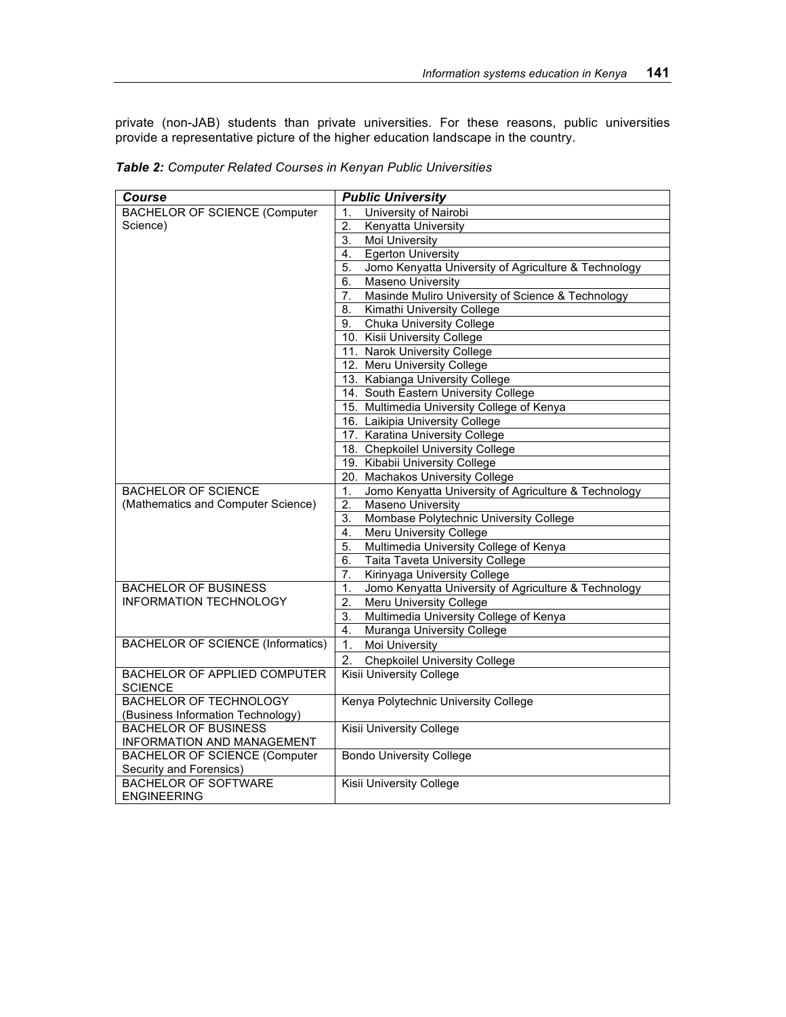private (non-JAB) students than private universities. For these reasons, public universities provide a representative picture of the higher education landscape in the country.

| Course                                   | <b>Public University</b>                                   |
|------------------------------------------|------------------------------------------------------------|
| <b>BACHELOR OF SCIENCE (Computer</b>     | University of Nairobi<br>1.                                |
| Science)                                 | 2.<br>Kenyatta University                                  |
|                                          | <b>Moi University</b><br>3.                                |
|                                          | <b>Egerton University</b><br>4.                            |
|                                          | Jomo Kenyatta University of Agriculture & Technology<br>5. |
|                                          | Maseno University<br>6.                                    |
|                                          | Masinde Muliro University of Science & Technology<br>7.    |
|                                          | Kimathi University College<br>8.                           |
|                                          | <b>Chuka University College</b><br>9.                      |
|                                          | 10. Kisii University College                               |
|                                          | 11. Narok University College                               |
|                                          | 12. Meru University College                                |
|                                          | 13. Kabianga University College                            |
|                                          | 14. South Eastern University College                       |
|                                          | 15. Multimedia University College of Kenya                 |
|                                          | 16. Laikipia University College                            |
|                                          | 17. Karatina University College                            |
|                                          | 18. Chepkoilel University College                          |
|                                          | 19. Kibabii University College                             |
|                                          | 20. Machakos University College                            |
| <b>BACHELOR OF SCIENCE</b>               | Jomo Kenyatta University of Agriculture & Technology<br>1. |
| (Mathematics and Computer Science)       | $\overline{2}$ .<br>Maseno University                      |
|                                          | Mombase Polytechnic University College<br>3.               |
|                                          | Meru University College<br>4.                              |
|                                          | Multimedia University College of Kenya<br>5.               |
|                                          | Taita Taveta University College<br>6.                      |
|                                          | Kirinyaga University College<br>7.                         |
| <b>BACHELOR OF BUSINESS</b>              | Jomo Kenyatta University of Agriculture & Technology<br>1. |
| <b>INFORMATION TECHNOLOGY</b>            | 2.<br><b>Meru University College</b>                       |
|                                          | Multimedia University College of Kenya<br>3.               |
|                                          | Muranga University College<br>4.                           |
| <b>BACHELOR OF SCIENCE (Informatics)</b> | 1.<br>Moi University                                       |
|                                          | 2.<br><b>Chepkoilel University College</b>                 |
| BACHELOR OF APPLIED COMPUTER             | <b>Kisii University College</b>                            |
| <b>SCIENCE</b>                           |                                                            |
| <b>BACHELOR OF TECHNOLOGY</b>            | Kenya Polytechnic University College                       |
| (Business Information Technology)        |                                                            |
| <b>BACHELOR OF BUSINESS</b>              | Kisii University College                                   |
| INFORMATION AND MANAGEMENT               |                                                            |
| <b>BACHELOR OF SCIENCE (Computer</b>     | <b>Bondo University College</b>                            |
| Security and Forensics)                  |                                                            |
| <b>BACHELOR OF SOFTWARE</b>              | Kisii University College                                   |
| <b>ENGINEERING</b>                       |                                                            |

*Table 2: Computer Related Courses in Kenyan Public Universities*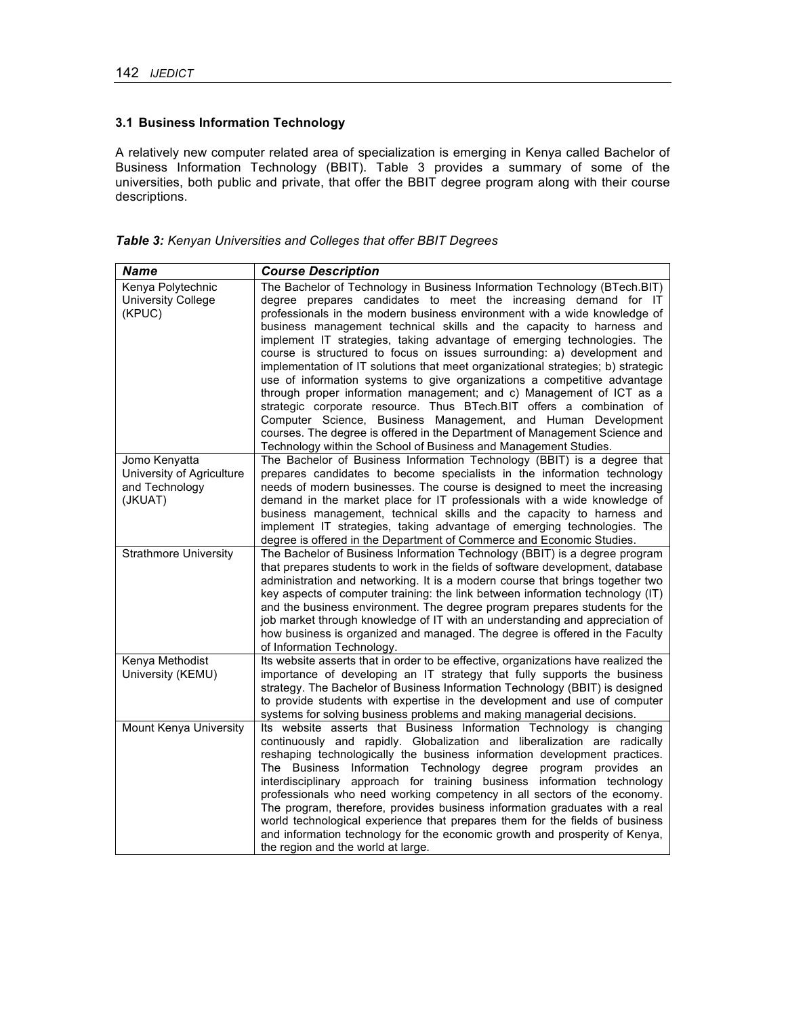# **3.1 Business Information Technology**

A relatively new computer related area of specialization is emerging in Kenya called Bachelor of Business Information Technology (BBIT). Table 3 provides a summary of some of the universities, both public and private, that offer the BBIT degree program along with their course descriptions.

*Table 3: Kenyan Universities and Colleges that offer BBIT Degrees*

| <b>Name</b>                                                             | <b>Course Description</b>                                                                                                                                                                                                                                                                                                                                                                                                                                                                                                                                                                                                                                                                                                                                                                                                                                                                                                                                                                 |
|-------------------------------------------------------------------------|-------------------------------------------------------------------------------------------------------------------------------------------------------------------------------------------------------------------------------------------------------------------------------------------------------------------------------------------------------------------------------------------------------------------------------------------------------------------------------------------------------------------------------------------------------------------------------------------------------------------------------------------------------------------------------------------------------------------------------------------------------------------------------------------------------------------------------------------------------------------------------------------------------------------------------------------------------------------------------------------|
| Kenya Polytechnic<br><b>University College</b><br>(KPUC)                | The Bachelor of Technology in Business Information Technology (BTech.BIT)<br>degree prepares candidates to meet the increasing demand for IT<br>professionals in the modern business environment with a wide knowledge of<br>business management technical skills and the capacity to harness and<br>implement IT strategies, taking advantage of emerging technologies. The<br>course is structured to focus on issues surrounding: a) development and<br>implementation of IT solutions that meet organizational strategies; b) strategic<br>use of information systems to give organizations a competitive advantage<br>through proper information management; and c) Management of ICT as a<br>strategic corporate resource. Thus BTech.BIT offers a combination of<br>Computer Science, Business Management, and Human Development<br>courses. The degree is offered in the Department of Management Science and<br>Technology within the School of Business and Management Studies. |
| Jomo Kenyatta<br>University of Agriculture<br>and Technology<br>(JKUAT) | The Bachelor of Business Information Technology (BBIT) is a degree that<br>prepares candidates to become specialists in the information technology<br>needs of modern businesses. The course is designed to meet the increasing<br>demand in the market place for IT professionals with a wide knowledge of<br>business management, technical skills and the capacity to harness and<br>implement IT strategies, taking advantage of emerging technologies. The<br>degree is offered in the Department of Commerce and Economic Studies.                                                                                                                                                                                                                                                                                                                                                                                                                                                  |
| <b>Strathmore University</b>                                            | The Bachelor of Business Information Technology (BBIT) is a degree program<br>that prepares students to work in the fields of software development, database<br>administration and networking. It is a modern course that brings together two<br>key aspects of computer training: the link between information technology (IT)<br>and the business environment. The degree program prepares students for the<br>job market through knowledge of IT with an understanding and appreciation of<br>how business is organized and managed. The degree is offered in the Faculty<br>of Information Technology.                                                                                                                                                                                                                                                                                                                                                                                |
| Kenya Methodist<br>University (KEMU)                                    | Its website asserts that in order to be effective, organizations have realized the<br>importance of developing an IT strategy that fully supports the business<br>strategy. The Bachelor of Business Information Technology (BBIT) is designed<br>to provide students with expertise in the development and use of computer<br>systems for solving business problems and making managerial decisions.                                                                                                                                                                                                                                                                                                                                                                                                                                                                                                                                                                                     |
| Mount Kenya University                                                  | Its website asserts that Business Information Technology is changing<br>continuously and rapidly. Globalization and liberalization are radically<br>reshaping technologically the business information development practices.<br>The Business Information Technology degree program provides an<br>interdisciplinary approach for training business information technology<br>professionals who need working competency in all sectors of the economy.<br>The program, therefore, provides business information graduates with a real<br>world technological experience that prepares them for the fields of business<br>and information technology for the economic growth and prosperity of Kenya,<br>the region and the world at large.                                                                                                                                                                                                                                                |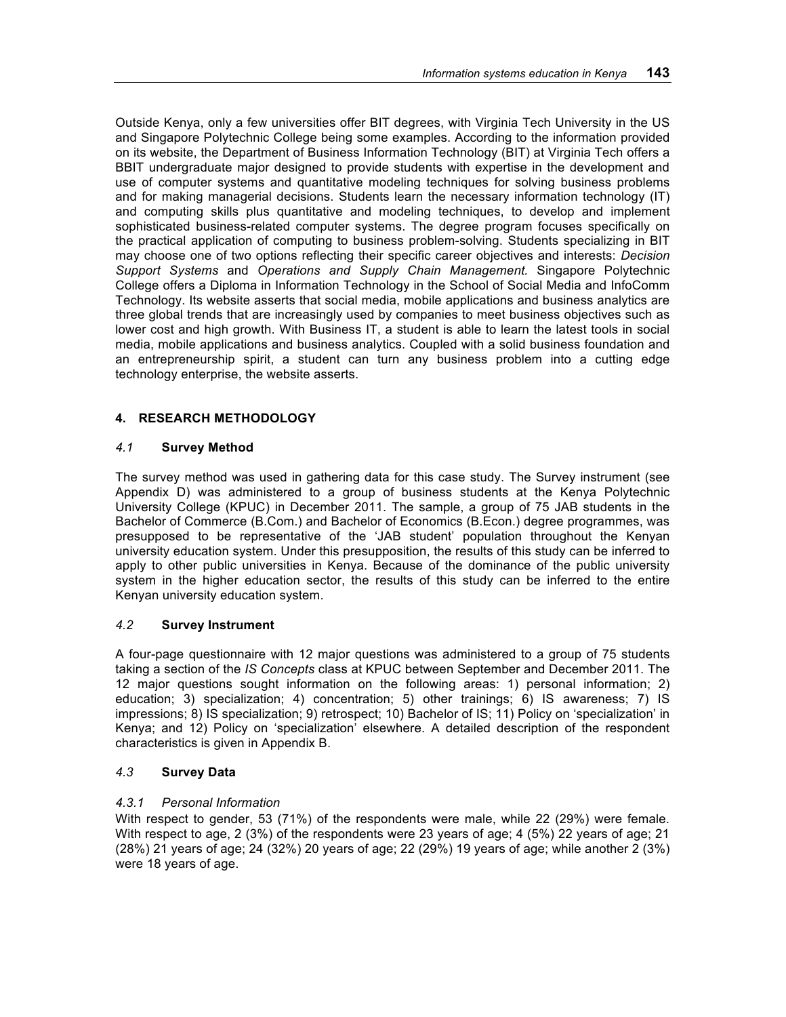Outside Kenya, only a few universities offer BIT degrees, with Virginia Tech University in the US and Singapore Polytechnic College being some examples. According to the information provided on its website, the Department of Business Information Technology (BIT) at Virginia Tech offers a BBIT undergraduate major designed to provide students with expertise in the development and use of computer systems and quantitative modeling techniques for solving business problems and for making managerial decisions. Students learn the necessary information technology (IT) and computing skills plus quantitative and modeling techniques, to develop and implement sophisticated business-related computer systems. The degree program focuses specifically on the practical application of computing to business problem-solving. Students specializing in BIT may choose one of two options reflecting their specific career objectives and interests: *Decision Support Systems* and *Operations and Supply Chain Management.* Singapore Polytechnic College offers a Diploma in Information Technology in the School of Social Media and InfoComm Technology. Its website asserts that social media, mobile applications and business analytics are three global trends that are increasingly used by companies to meet business objectives such as lower cost and high growth. With Business IT, a student is able to learn the latest tools in social media, mobile applications and business analytics. Coupled with a solid business foundation and an entrepreneurship spirit, a student can turn any business problem into a cutting edge technology enterprise, the website asserts.

### **4. RESEARCH METHODOLOGY**

## *4.1* **Survey Method**

The survey method was used in gathering data for this case study. The Survey instrument (see Appendix D) was administered to a group of business students at the Kenya Polytechnic University College (KPUC) in December 2011. The sample, a group of 75 JAB students in the Bachelor of Commerce (B.Com.) and Bachelor of Economics (B.Econ.) degree programmes, was presupposed to be representative of the 'JAB student' population throughout the Kenyan university education system. Under this presupposition, the results of this study can be inferred to apply to other public universities in Kenya. Because of the dominance of the public university system in the higher education sector, the results of this study can be inferred to the entire Kenyan university education system.

### *4.2* **Survey Instrument**

A four-page questionnaire with 12 major questions was administered to a group of 75 students taking a section of the *IS Concepts* class at KPUC between September and December 2011. The 12 major questions sought information on the following areas: 1) personal information; 2) education; 3) specialization; 4) concentration; 5) other trainings; 6) IS awareness; 7) IS impressions; 8) IS specialization; 9) retrospect; 10) Bachelor of IS; 11) Policy on 'specialization' in Kenya; and 12) Policy on 'specialization' elsewhere. A detailed description of the respondent characteristics is given in Appendix B.

### *4.3* **Survey Data**

### *4.3.1 Personal Information*

With respect to gender, 53 (71%) of the respondents were male, while 22 (29%) were female. With respect to age, 2 (3%) of the respondents were 23 years of age; 4 (5%) 22 years of age; 21 (28%) 21 years of age; 24 (32%) 20 years of age; 22 (29%) 19 years of age; while another 2 (3%) were 18 years of age.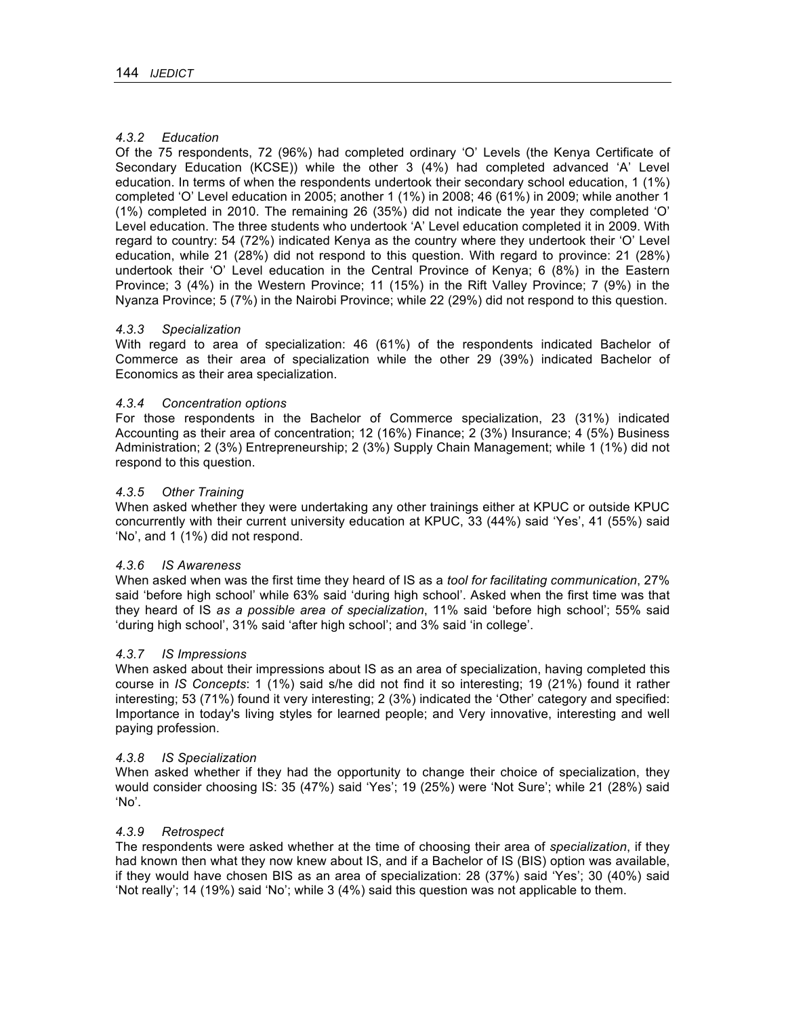### *4.3.2 Education*

Of the 75 respondents, 72 (96%) had completed ordinary 'O' Levels (the Kenya Certificate of Secondary Education (KCSE)) while the other 3 (4%) had completed advanced 'A' Level education. In terms of when the respondents undertook their secondary school education, 1 (1%) completed 'O' Level education in 2005; another 1 (1%) in 2008; 46 (61%) in 2009; while another 1 (1%) completed in 2010. The remaining 26 (35%) did not indicate the year they completed 'O' Level education. The three students who undertook 'A' Level education completed it in 2009. With regard to country: 54 (72%) indicated Kenya as the country where they undertook their 'O' Level education, while 21 (28%) did not respond to this question. With regard to province: 21 (28%) undertook their 'O' Level education in the Central Province of Kenya; 6 (8%) in the Eastern Province; 3 (4%) in the Western Province; 11 (15%) in the Rift Valley Province; 7 (9%) in the Nyanza Province; 5 (7%) in the Nairobi Province; while 22 (29%) did not respond to this question.

### *4.3.3 Specialization*

With regard to area of specialization: 46 (61%) of the respondents indicated Bachelor of Commerce as their area of specialization while the other 29 (39%) indicated Bachelor of Economics as their area specialization.

### *4.3.4 Concentration options*

For those respondents in the Bachelor of Commerce specialization, 23 (31%) indicated Accounting as their area of concentration; 12 (16%) Finance; 2 (3%) Insurance; 4 (5%) Business Administration; 2 (3%) Entrepreneurship; 2 (3%) Supply Chain Management; while 1 (1%) did not respond to this question.

### *4.3.5 Other Training*

When asked whether they were undertaking any other trainings either at KPUC or outside KPUC concurrently with their current university education at KPUC, 33 (44%) said 'Yes', 41 (55%) said 'No', and 1 (1%) did not respond.

#### *4.3.6 IS Awareness*

When asked when was the first time they heard of IS as a *tool for facilitating communication*, 27% said 'before high school' while 63% said 'during high school'. Asked when the first time was that they heard of IS *as a possible area of specialization*, 11% said 'before high school'; 55% said 'during high school', 31% said 'after high school'; and 3% said 'in college'.

#### *4.3.7 IS Impressions*

When asked about their impressions about IS as an area of specialization, having completed this course in *IS Concepts*: 1 (1%) said s/he did not find it so interesting; 19 (21%) found it rather interesting; 53 (71%) found it very interesting; 2 (3%) indicated the 'Other' category and specified: Importance in today's living styles for learned people; and Very innovative, interesting and well paying profession.

#### *4.3.8 IS Specialization*

When asked whether if they had the opportunity to change their choice of specialization, they would consider choosing IS: 35 (47%) said 'Yes'; 19 (25%) were 'Not Sure'; while 21 (28%) said 'No'.

### *4.3.9 Retrospect*

The respondents were asked whether at the time of choosing their area of *specialization*, if they had known then what they now knew about IS, and if a Bachelor of IS (BIS) option was available, if they would have chosen BIS as an area of specialization: 28 (37%) said 'Yes'; 30 (40%) said 'Not really'; 14 (19%) said 'No'; while 3 (4%) said this question was not applicable to them.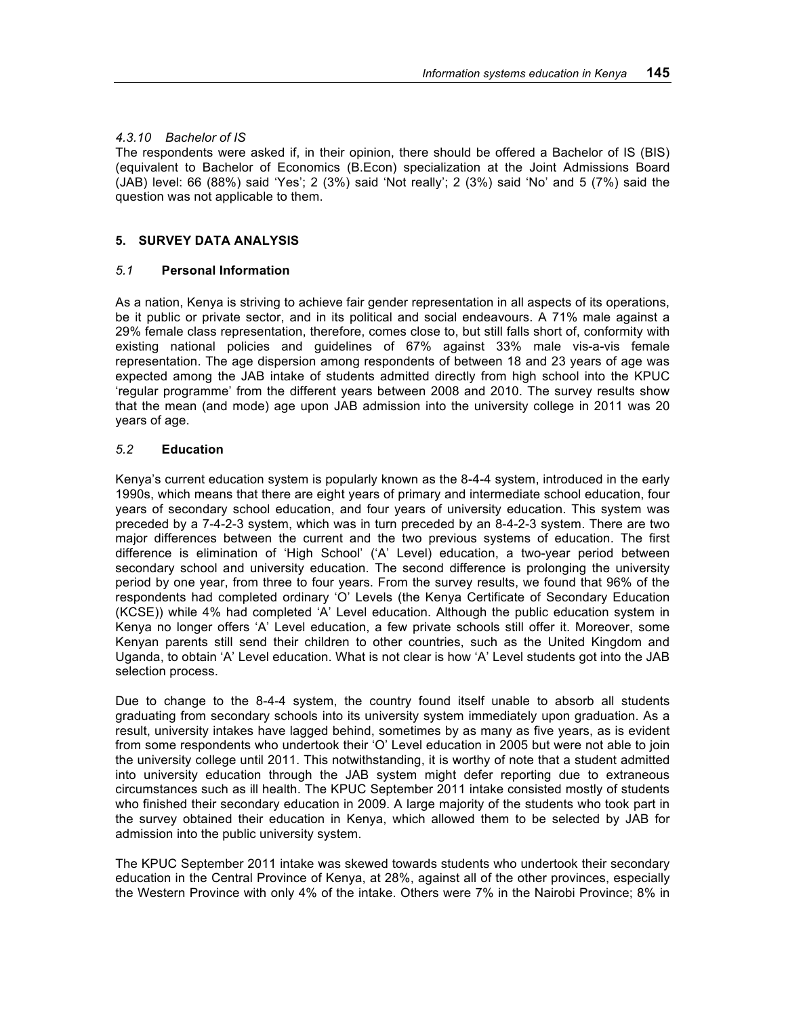### *4.3.10 Bachelor of IS*

The respondents were asked if, in their opinion, there should be offered a Bachelor of IS (BIS) (equivalent to Bachelor of Economics (B.Econ) specialization at the Joint Admissions Board (JAB) level: 66 (88%) said 'Yes'; 2 (3%) said 'Not really'; 2 (3%) said 'No' and 5 (7%) said the question was not applicable to them.

### **5. SURVEY DATA ANALYSIS**

### *5.1* **Personal Information**

As a nation, Kenya is striving to achieve fair gender representation in all aspects of its operations, be it public or private sector, and in its political and social endeavours. A 71% male against a 29% female class representation, therefore, comes close to, but still falls short of, conformity with existing national policies and guidelines of 67% against 33% male vis-a-vis female representation. The age dispersion among respondents of between 18 and 23 years of age was expected among the JAB intake of students admitted directly from high school into the KPUC 'regular programme' from the different years between 2008 and 2010. The survey results show that the mean (and mode) age upon JAB admission into the university college in 2011 was 20 years of age.

### *5.2* **Education**

Kenya's current education system is popularly known as the 8-4-4 system, introduced in the early 1990s, which means that there are eight years of primary and intermediate school education, four years of secondary school education, and four years of university education. This system was preceded by a 7-4-2-3 system, which was in turn preceded by an 8-4-2-3 system. There are two major differences between the current and the two previous systems of education. The first difference is elimination of 'High School' ('A' Level) education, a two-year period between secondary school and university education. The second difference is prolonging the university period by one year, from three to four years. From the survey results, we found that 96% of the respondents had completed ordinary 'O' Levels (the Kenya Certificate of Secondary Education (KCSE)) while 4% had completed 'A' Level education. Although the public education system in Kenya no longer offers 'A' Level education, a few private schools still offer it. Moreover, some Kenyan parents still send their children to other countries, such as the United Kingdom and Uganda, to obtain 'A' Level education. What is not clear is how 'A' Level students got into the JAB selection process.

Due to change to the 8-4-4 system, the country found itself unable to absorb all students graduating from secondary schools into its university system immediately upon graduation. As a result, university intakes have lagged behind, sometimes by as many as five years, as is evident from some respondents who undertook their 'O' Level education in 2005 but were not able to join the university college until 2011. This notwithstanding, it is worthy of note that a student admitted into university education through the JAB system might defer reporting due to extraneous circumstances such as ill health. The KPUC September 2011 intake consisted mostly of students who finished their secondary education in 2009. A large majority of the students who took part in the survey obtained their education in Kenya, which allowed them to be selected by JAB for admission into the public university system.

The KPUC September 2011 intake was skewed towards students who undertook their secondary education in the Central Province of Kenya, at 28%, against all of the other provinces, especially the Western Province with only 4% of the intake. Others were 7% in the Nairobi Province; 8% in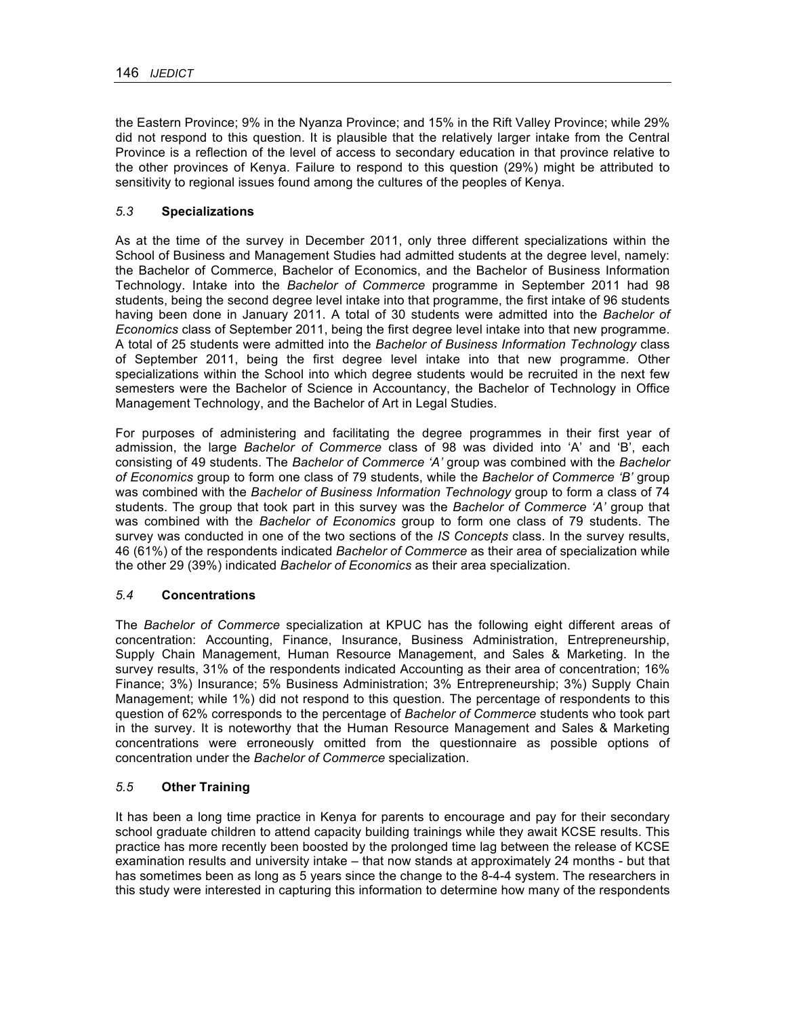the Eastern Province; 9% in the Nyanza Province; and 15% in the Rift Valley Province; while 29% did not respond to this question. It is plausible that the relatively larger intake from the Central Province is a reflection of the level of access to secondary education in that province relative to the other provinces of Kenya. Failure to respond to this question (29%) might be attributed to sensitivity to regional issues found among the cultures of the peoples of Kenya.

# *5.3* **Specializations**

As at the time of the survey in December 2011, only three different specializations within the School of Business and Management Studies had admitted students at the degree level, namely: the Bachelor of Commerce, Bachelor of Economics, and the Bachelor of Business Information Technology. Intake into the *Bachelor of Commerce* programme in September 2011 had 98 students, being the second degree level intake into that programme, the first intake of 96 students having been done in January 2011. A total of 30 students were admitted into the *Bachelor of Economics* class of September 2011, being the first degree level intake into that new programme. A total of 25 students were admitted into the *Bachelor of Business Information Technology* class of September 2011, being the first degree level intake into that new programme. Other specializations within the School into which degree students would be recruited in the next few semesters were the Bachelor of Science in Accountancy, the Bachelor of Technology in Office Management Technology, and the Bachelor of Art in Legal Studies.

For purposes of administering and facilitating the degree programmes in their first year of admission, the large *Bachelor of Commerce* class of 98 was divided into 'A' and 'B', each consisting of 49 students. The *Bachelor of Commerce 'A'* group was combined with the *Bachelor of Economics* group to form one class of 79 students, while the *Bachelor of Commerce 'B'* group was combined with the *Bachelor of Business Information Technology* group to form a class of 74 students. The group that took part in this survey was the *Bachelor of Commerce 'A'* group that was combined with the *Bachelor of Economics* group to form one class of 79 students. The survey was conducted in one of the two sections of the *IS Concepts* class. In the survey results, 46 (61%) of the respondents indicated *Bachelor of Commerce* as their area of specialization while the other 29 (39%) indicated *Bachelor of Economics* as their area specialization.

### *5.4* **Concentrations**

The *Bachelor of Commerce* specialization at KPUC has the following eight different areas of concentration: Accounting, Finance, Insurance, Business Administration, Entrepreneurship, Supply Chain Management, Human Resource Management, and Sales & Marketing. In the survey results, 31% of the respondents indicated Accounting as their area of concentration; 16% Finance; 3%) Insurance; 5% Business Administration; 3% Entrepreneurship; 3%) Supply Chain Management; while 1%) did not respond to this question. The percentage of respondents to this question of 62% corresponds to the percentage of *Bachelor of Commerce* students who took part in the survey. It is noteworthy that the Human Resource Management and Sales & Marketing concentrations were erroneously omitted from the questionnaire as possible options of concentration under the *Bachelor of Commerce* specialization.

### *5.5* **Other Training**

It has been a long time practice in Kenya for parents to encourage and pay for their secondary school graduate children to attend capacity building trainings while they await KCSE results. This practice has more recently been boosted by the prolonged time lag between the release of KCSE examination results and university intake – that now stands at approximately 24 months - but that has sometimes been as long as 5 years since the change to the 8-4-4 system. The researchers in this study were interested in capturing this information to determine how many of the respondents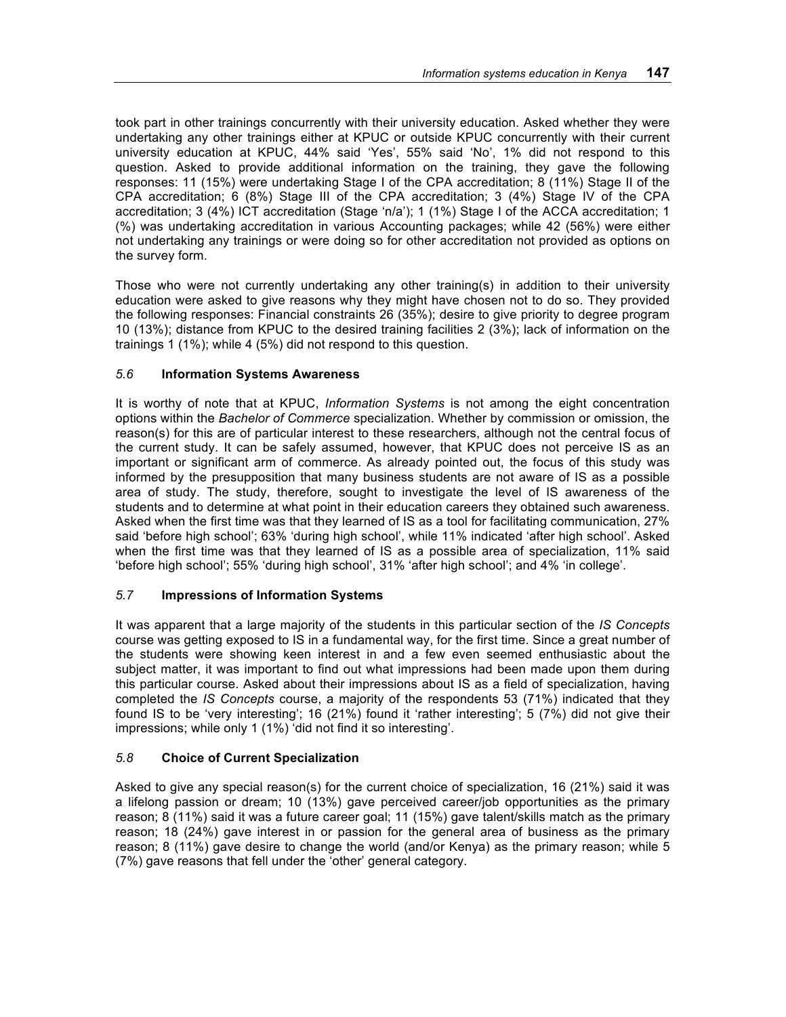took part in other trainings concurrently with their university education. Asked whether they were undertaking any other trainings either at KPUC or outside KPUC concurrently with their current university education at KPUC, 44% said 'Yes', 55% said 'No', 1% did not respond to this question. Asked to provide additional information on the training, they gave the following responses: 11 (15%) were undertaking Stage I of the CPA accreditation; 8 (11%) Stage II of the CPA accreditation; 6 (8%) Stage III of the CPA accreditation; 3 (4%) Stage IV of the CPA accreditation; 3 (4%) ICT accreditation (Stage 'n/a'); 1 (1%) Stage I of the ACCA accreditation; 1 (%) was undertaking accreditation in various Accounting packages; while 42 (56%) were either not undertaking any trainings or were doing so for other accreditation not provided as options on the survey form.

Those who were not currently undertaking any other training(s) in addition to their university education were asked to give reasons why they might have chosen not to do so. They provided the following responses: Financial constraints 26 (35%); desire to give priority to degree program 10 (13%); distance from KPUC to the desired training facilities 2 (3%); lack of information on the trainings 1 (1%); while 4 (5%) did not respond to this question.

# *5.6* **Information Systems Awareness**

It is worthy of note that at KPUC, *Information Systems* is not among the eight concentration options within the *Bachelor of Commerce* specialization. Whether by commission or omission, the reason(s) for this are of particular interest to these researchers, although not the central focus of the current study. It can be safely assumed, however, that KPUC does not perceive IS as an important or significant arm of commerce. As already pointed out, the focus of this study was informed by the presupposition that many business students are not aware of IS as a possible area of study. The study, therefore, sought to investigate the level of IS awareness of the students and to determine at what point in their education careers they obtained such awareness. Asked when the first time was that they learned of IS as a tool for facilitating communication, 27% said 'before high school'; 63% 'during high school', while 11% indicated 'after high school'. Asked when the first time was that they learned of IS as a possible area of specialization, 11% said 'before high school'; 55% 'during high school', 31% 'after high school'; and 4% 'in college'.

# *5.7* **Impressions of Information Systems**

It was apparent that a large majority of the students in this particular section of the *IS Concepts* course was getting exposed to IS in a fundamental way, for the first time. Since a great number of the students were showing keen interest in and a few even seemed enthusiastic about the subject matter, it was important to find out what impressions had been made upon them during this particular course. Asked about their impressions about IS as a field of specialization, having completed the *IS Concepts* course, a majority of the respondents 53 (71%) indicated that they found IS to be 'very interesting'; 16 (21%) found it 'rather interesting'; 5 (7%) did not give their impressions; while only 1 (1%) 'did not find it so interesting'.

# *5.8* **Choice of Current Specialization**

Asked to give any special reason(s) for the current choice of specialization, 16 (21%) said it was a lifelong passion or dream; 10 (13%) gave perceived career/job opportunities as the primary reason; 8 (11%) said it was a future career goal; 11 (15%) gave talent/skills match as the primary reason; 18 (24%) gave interest in or passion for the general area of business as the primary reason; 8 (11%) gave desire to change the world (and/or Kenya) as the primary reason; while 5 (7%) gave reasons that fell under the 'other' general category.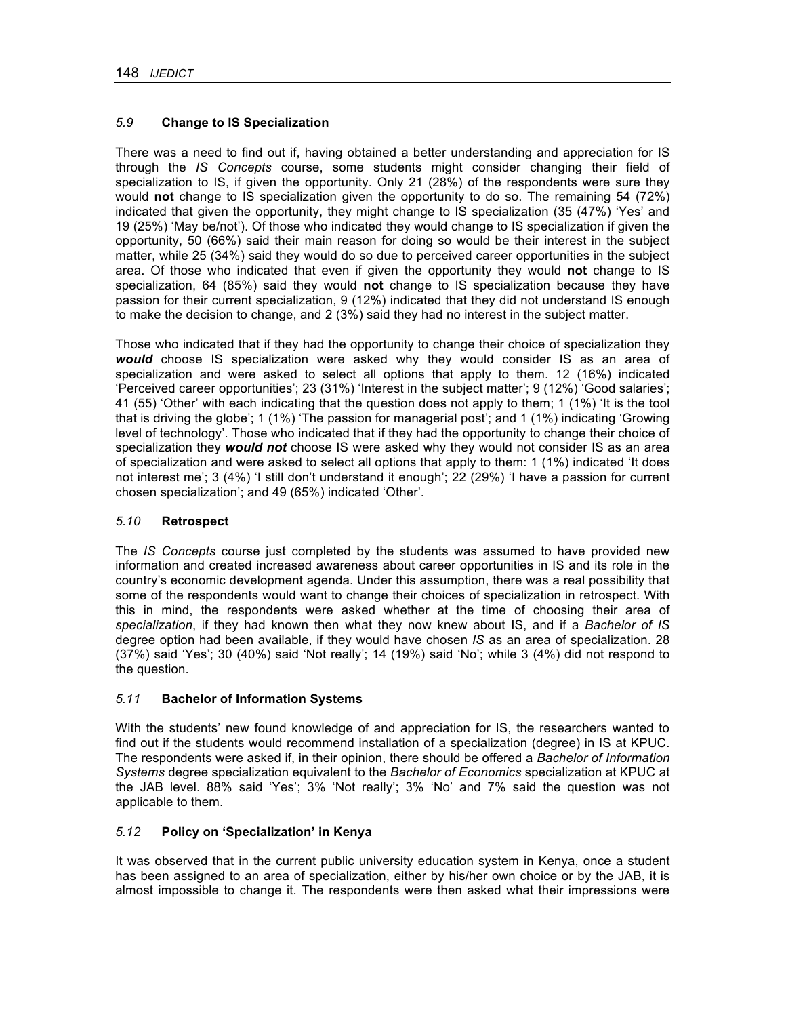# *5.9* **Change to IS Specialization**

There was a need to find out if, having obtained a better understanding and appreciation for IS through the *IS Concepts* course, some students might consider changing their field of specialization to IS, if given the opportunity. Only 21 (28%) of the respondents were sure they would **not** change to IS specialization given the opportunity to do so. The remaining 54 (72%) indicated that given the opportunity, they might change to IS specialization (35 (47%) 'Yes' and 19 (25%) 'May be/not'). Of those who indicated they would change to IS specialization if given the opportunity, 50 (66%) said their main reason for doing so would be their interest in the subject matter, while 25 (34%) said they would do so due to perceived career opportunities in the subject area. Of those who indicated that even if given the opportunity they would **not** change to IS specialization, 64 (85%) said they would **not** change to IS specialization because they have passion for their current specialization, 9 (12%) indicated that they did not understand IS enough to make the decision to change, and 2 (3%) said they had no interest in the subject matter.

Those who indicated that if they had the opportunity to change their choice of specialization they *would* choose IS specialization were asked why they would consider IS as an area of specialization and were asked to select all options that apply to them. 12 (16%) indicated 'Perceived career opportunities'; 23 (31%) 'Interest in the subject matter'; 9 (12%) 'Good salaries'; 41 (55) 'Other' with each indicating that the question does not apply to them; 1 (1%) 'It is the tool that is driving the globe'; 1 (1%) 'The passion for managerial post'; and 1 (1%) indicating 'Growing level of technology'. Those who indicated that if they had the opportunity to change their choice of specialization they *would not* choose IS were asked why they would not consider IS as an area of specialization and were asked to select all options that apply to them: 1 (1%) indicated 'It does not interest me'; 3 (4%) 'I still don't understand it enough'; 22 (29%) 'I have a passion for current chosen specialization'; and 49 (65%) indicated 'Other'.

### *5.10* **Retrospect**

The *IS Concepts* course just completed by the students was assumed to have provided new information and created increased awareness about career opportunities in IS and its role in the country's economic development agenda. Under this assumption, there was a real possibility that some of the respondents would want to change their choices of specialization in retrospect. With this in mind, the respondents were asked whether at the time of choosing their area of *specialization*, if they had known then what they now knew about IS, and if a *Bachelor of IS* degree option had been available, if they would have chosen *IS* as an area of specialization. 28 (37%) said 'Yes'; 30 (40%) said 'Not really'; 14 (19%) said 'No'; while 3 (4%) did not respond to the question.

# *5.11* **Bachelor of Information Systems**

With the students' new found knowledge of and appreciation for IS, the researchers wanted to find out if the students would recommend installation of a specialization (degree) in IS at KPUC. The respondents were asked if, in their opinion, there should be offered a *Bachelor of Information Systems* degree specialization equivalent to the *Bachelor of Economics* specialization at KPUC at the JAB level. 88% said 'Yes'; 3% 'Not really'; 3% 'No' and 7% said the question was not applicable to them.

### *5.12* **Policy on 'Specialization' in Kenya**

It was observed that in the current public university education system in Kenya, once a student has been assigned to an area of specialization, either by his/her own choice or by the JAB, it is almost impossible to change it. The respondents were then asked what their impressions were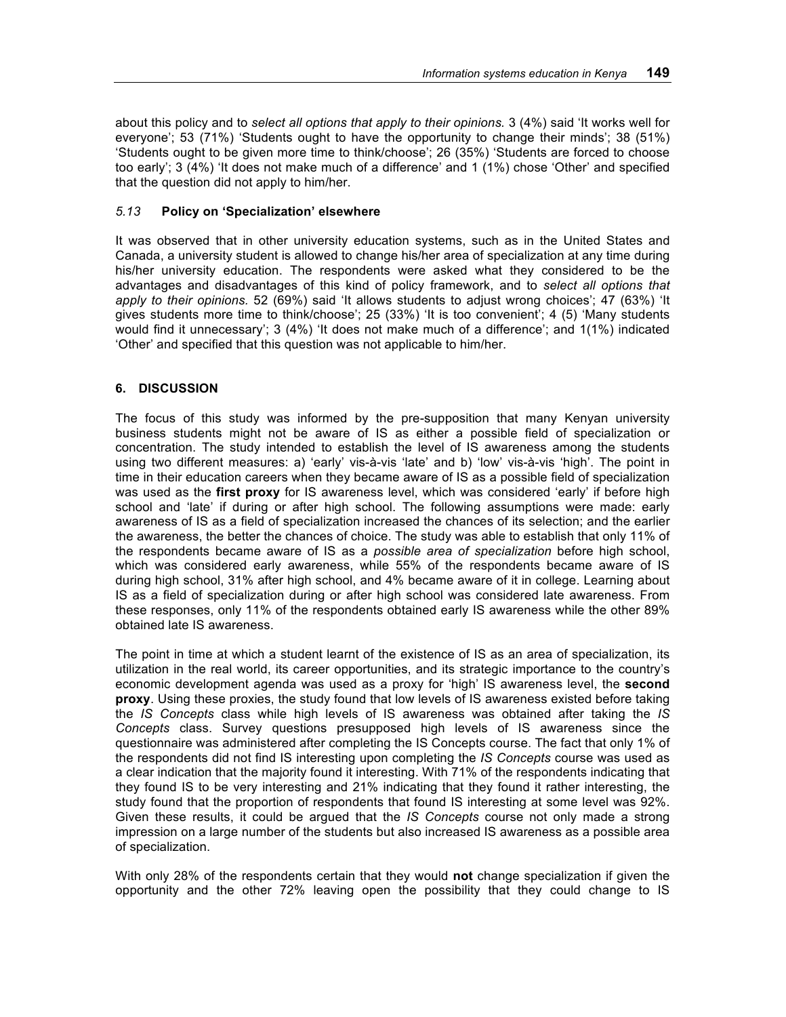about this policy and to *select all options that apply to their opinions.* 3 (4%) said 'It works well for everyone'; 53 (71%) 'Students ought to have the opportunity to change their minds'; 38 (51%) 'Students ought to be given more time to think/choose'; 26 (35%) 'Students are forced to choose too early'; 3 (4%) 'It does not make much of a difference' and 1 (1%) chose 'Other' and specified that the question did not apply to him/her.

## *5.13* **Policy on 'Specialization' elsewhere**

It was observed that in other university education systems, such as in the United States and Canada, a university student is allowed to change his/her area of specialization at any time during his/her university education. The respondents were asked what they considered to be the advantages and disadvantages of this kind of policy framework, and to *select all options that apply to their opinions.* 52 (69%) said 'It allows students to adjust wrong choices'; 47 (63%) 'It gives students more time to think/choose'; 25 (33%) 'It is too convenient'; 4 (5) 'Many students would find it unnecessary'; 3 (4%) 'It does not make much of a difference'; and 1(1%) indicated 'Other' and specified that this question was not applicable to him/her.

## **6. DISCUSSION**

The focus of this study was informed by the pre-supposition that many Kenyan university business students might not be aware of IS as either a possible field of specialization or concentration. The study intended to establish the level of IS awareness among the students using two different measures: a) 'early' vis-à-vis 'late' and b) 'low' vis-à-vis 'high'. The point in time in their education careers when they became aware of IS as a possible field of specialization was used as the **first proxy** for IS awareness level, which was considered 'early' if before high school and 'late' if during or after high school. The following assumptions were made: early awareness of IS as a field of specialization increased the chances of its selection; and the earlier the awareness, the better the chances of choice. The study was able to establish that only 11% of the respondents became aware of IS as a *possible area of specialization* before high school, which was considered early awareness, while 55% of the respondents became aware of IS during high school, 31% after high school, and 4% became aware of it in college. Learning about IS as a field of specialization during or after high school was considered late awareness. From these responses, only 11% of the respondents obtained early IS awareness while the other 89% obtained late IS awareness.

The point in time at which a student learnt of the existence of IS as an area of specialization, its utilization in the real world, its career opportunities, and its strategic importance to the country's economic development agenda was used as a proxy for 'high' IS awareness level, the **second proxy**. Using these proxies, the study found that low levels of IS awareness existed before taking the *IS Concepts* class while high levels of IS awareness was obtained after taking the *IS Concepts* class. Survey questions presupposed high levels of IS awareness since the questionnaire was administered after completing the IS Concepts course. The fact that only 1% of the respondents did not find IS interesting upon completing the *IS Concepts* course was used as a clear indication that the majority found it interesting. With 71% of the respondents indicating that they found IS to be very interesting and 21% indicating that they found it rather interesting, the study found that the proportion of respondents that found IS interesting at some level was 92%. Given these results, it could be argued that the *IS Concepts* course not only made a strong impression on a large number of the students but also increased IS awareness as a possible area of specialization.

With only 28% of the respondents certain that they would **not** change specialization if given the opportunity and the other 72% leaving open the possibility that they could change to IS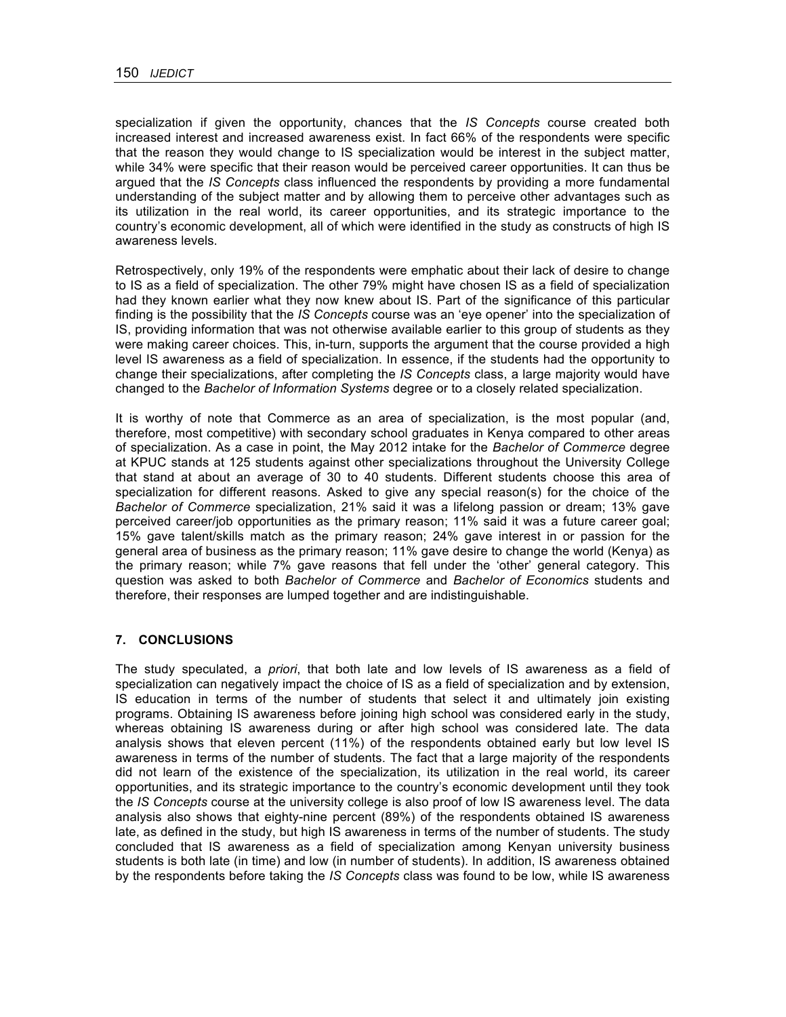specialization if given the opportunity, chances that the *IS Concepts* course created both increased interest and increased awareness exist. In fact 66% of the respondents were specific that the reason they would change to IS specialization would be interest in the subject matter, while 34% were specific that their reason would be perceived career opportunities. It can thus be argued that the *IS Concepts* class influenced the respondents by providing a more fundamental understanding of the subject matter and by allowing them to perceive other advantages such as its utilization in the real world, its career opportunities, and its strategic importance to the country's economic development, all of which were identified in the study as constructs of high IS awareness levels.

Retrospectively, only 19% of the respondents were emphatic about their lack of desire to change to IS as a field of specialization. The other 79% might have chosen IS as a field of specialization had they known earlier what they now knew about IS. Part of the significance of this particular finding is the possibility that the *IS Concepts* course was an 'eye opener' into the specialization of IS, providing information that was not otherwise available earlier to this group of students as they were making career choices. This, in-turn, supports the argument that the course provided a high level IS awareness as a field of specialization. In essence, if the students had the opportunity to change their specializations, after completing the *IS Concepts* class, a large majority would have changed to the *Bachelor of Information Systems* degree or to a closely related specialization.

It is worthy of note that Commerce as an area of specialization, is the most popular (and, therefore, most competitive) with secondary school graduates in Kenya compared to other areas of specialization. As a case in point, the May 2012 intake for the *Bachelor of Commerce* degree at KPUC stands at 125 students against other specializations throughout the University College that stand at about an average of 30 to 40 students. Different students choose this area of specialization for different reasons. Asked to give any special reason(s) for the choice of the *Bachelor of Commerce* specialization, 21% said it was a lifelong passion or dream; 13% gave perceived career/job opportunities as the primary reason; 11% said it was a future career goal; 15% gave talent/skills match as the primary reason; 24% gave interest in or passion for the general area of business as the primary reason; 11% gave desire to change the world (Kenya) as the primary reason; while 7% gave reasons that fell under the 'other' general category. This question was asked to both *Bachelor of Commerce* and *Bachelor of Economics* students and therefore, their responses are lumped together and are indistinguishable.

### **7. CONCLUSIONS**

The study speculated, a *priori*, that both late and low levels of IS awareness as a field of specialization can negatively impact the choice of IS as a field of specialization and by extension, IS education in terms of the number of students that select it and ultimately join existing programs. Obtaining IS awareness before joining high school was considered early in the study, whereas obtaining IS awareness during or after high school was considered late. The data analysis shows that eleven percent (11%) of the respondents obtained early but low level IS awareness in terms of the number of students. The fact that a large majority of the respondents did not learn of the existence of the specialization, its utilization in the real world, its career opportunities, and its strategic importance to the country's economic development until they took the *IS Concepts* course at the university college is also proof of low IS awareness level. The data analysis also shows that eighty-nine percent (89%) of the respondents obtained IS awareness late, as defined in the study, but high IS awareness in terms of the number of students. The study concluded that IS awareness as a field of specialization among Kenyan university business students is both late (in time) and low (in number of students). In addition, IS awareness obtained by the respondents before taking the *IS Concepts* class was found to be low, while IS awareness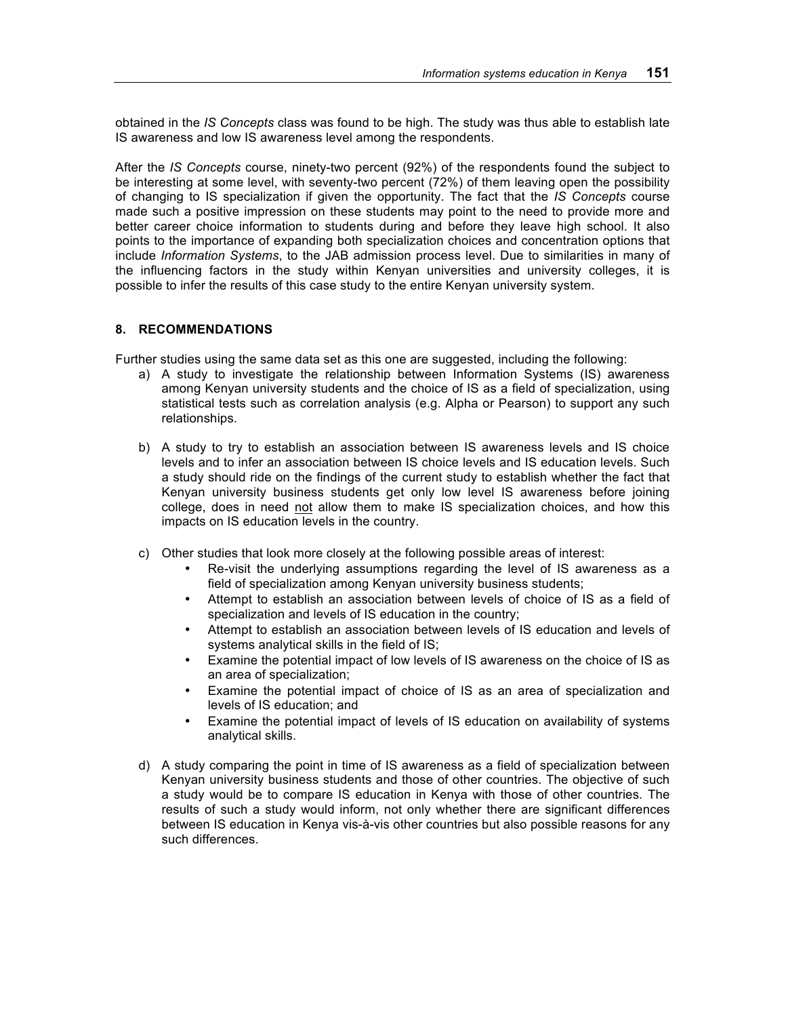obtained in the *IS Concepts* class was found to be high. The study was thus able to establish late IS awareness and low IS awareness level among the respondents.

After the *IS Concepts* course, ninety-two percent (92%) of the respondents found the subject to be interesting at some level, with seventy-two percent (72%) of them leaving open the possibility of changing to IS specialization if given the opportunity. The fact that the *IS Concepts* course made such a positive impression on these students may point to the need to provide more and better career choice information to students during and before they leave high school. It also points to the importance of expanding both specialization choices and concentration options that include *Information Systems*, to the JAB admission process level. Due to similarities in many of the influencing factors in the study within Kenyan universities and university colleges, it is possible to infer the results of this case study to the entire Kenyan university system.

### **8. RECOMMENDATIONS**

Further studies using the same data set as this one are suggested, including the following:

- a) A study to investigate the relationship between Information Systems (IS) awareness among Kenyan university students and the choice of IS as a field of specialization, using statistical tests such as correlation analysis (e.g. Alpha or Pearson) to support any such relationships.
- b) A study to try to establish an association between IS awareness levels and IS choice levels and to infer an association between IS choice levels and IS education levels. Such a study should ride on the findings of the current study to establish whether the fact that Kenyan university business students get only low level IS awareness before joining college, does in need not allow them to make IS specialization choices, and how this impacts on IS education levels in the country.
- c) Other studies that look more closely at the following possible areas of interest:
	- Re-visit the underlying assumptions regarding the level of IS awareness as a field of specialization among Kenyan university business students;
	- Attempt to establish an association between levels of choice of IS as a field of specialization and levels of IS education in the country;
	- Attempt to establish an association between levels of IS education and levels of systems analytical skills in the field of IS;
	- Examine the potential impact of low levels of IS awareness on the choice of IS as an area of specialization;
	- Examine the potential impact of choice of IS as an area of specialization and levels of IS education; and
	- Examine the potential impact of levels of IS education on availability of systems analytical skills.
- d) A study comparing the point in time of IS awareness as a field of specialization between Kenyan university business students and those of other countries. The objective of such a study would be to compare IS education in Kenya with those of other countries. The results of such a study would inform, not only whether there are significant differences between IS education in Kenya vis-à-vis other countries but also possible reasons for any such differences.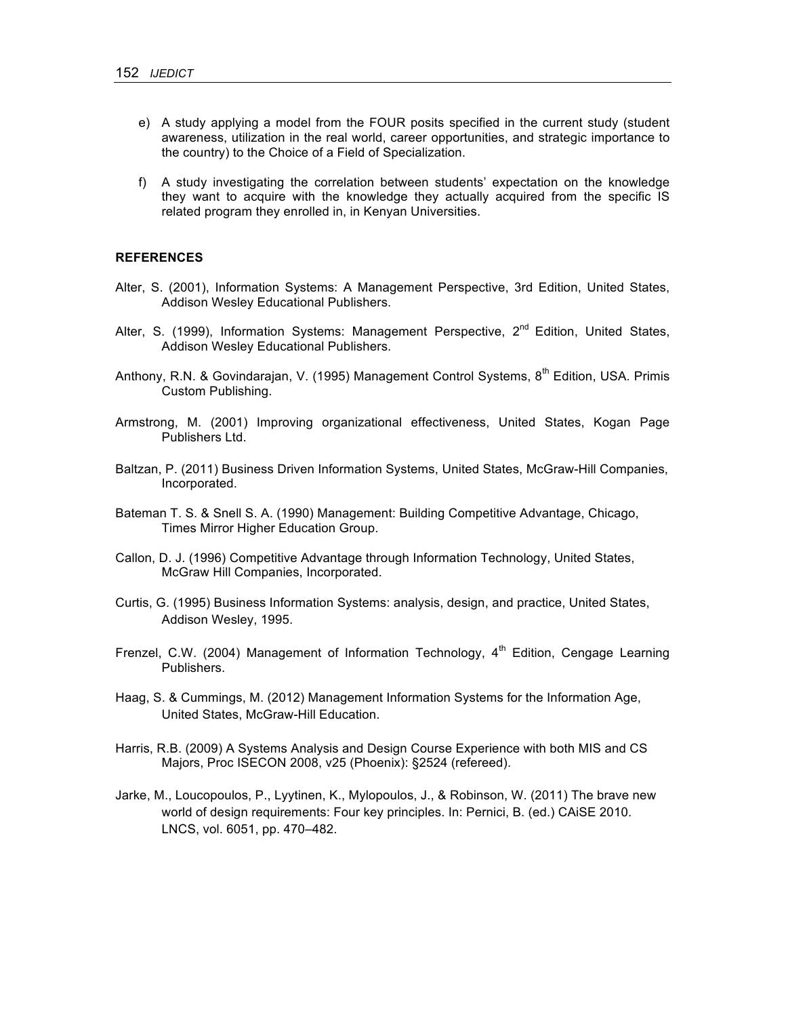- e) A study applying a model from the FOUR posits specified in the current study (student awareness, utilization in the real world, career opportunities, and strategic importance to the country) to the Choice of a Field of Specialization.
- f) A study investigating the correlation between students' expectation on the knowledge they want to acquire with the knowledge they actually acquired from the specific IS related program they enrolled in, in Kenyan Universities.

#### **REFERENCES**

- Alter, S. (2001), Information Systems: A Management Perspective, 3rd Edition, United States, Addison Wesley Educational Publishers.
- Alter, S. (1999), Information Systems: Management Perspective, 2<sup>nd</sup> Edition, United States, Addison Wesley Educational Publishers.
- Anthony, R.N. & Govindarajan, V. (1995) Management Control Systems, 8<sup>th</sup> Edition, USA. Primis Custom Publishing.
- Armstrong, M. (2001) Improving organizational effectiveness, United States, Kogan Page Publishers Ltd.
- Baltzan, P. (2011) Business Driven Information Systems, United States, McGraw-Hill Companies, Incorporated.
- Bateman T. S. & Snell S. A. (1990) Management: Building Competitive Advantage, Chicago, Times Mirror Higher Education Group.
- Callon, D. J. (1996) Competitive Advantage through Information Technology, United States, McGraw Hill Companies, Incorporated.
- Curtis, G. (1995) Business Information Systems: analysis, design, and practice, United States, Addison Wesley, 1995.
- Frenzel, C.W. (2004) Management of Information Technology,  $4<sup>th</sup>$  Edition, Cengage Learning Publishers.
- Haag, S. & Cummings, M. (2012) Management Information Systems for the Information Age, United States, McGraw-Hill Education.
- Harris, R.B. (2009) A Systems Analysis and Design Course Experience with both MIS and CS Majors, Proc ISECON 2008, v25 (Phoenix): §2524 (refereed).
- Jarke, M., Loucopoulos, P., Lyytinen, K., Mylopoulos, J., & Robinson, W. (2011) The brave new world of design requirements: Four key principles. In: Pernici, B. (ed.) CAiSE 2010. LNCS, vol. 6051, pp. 470–482.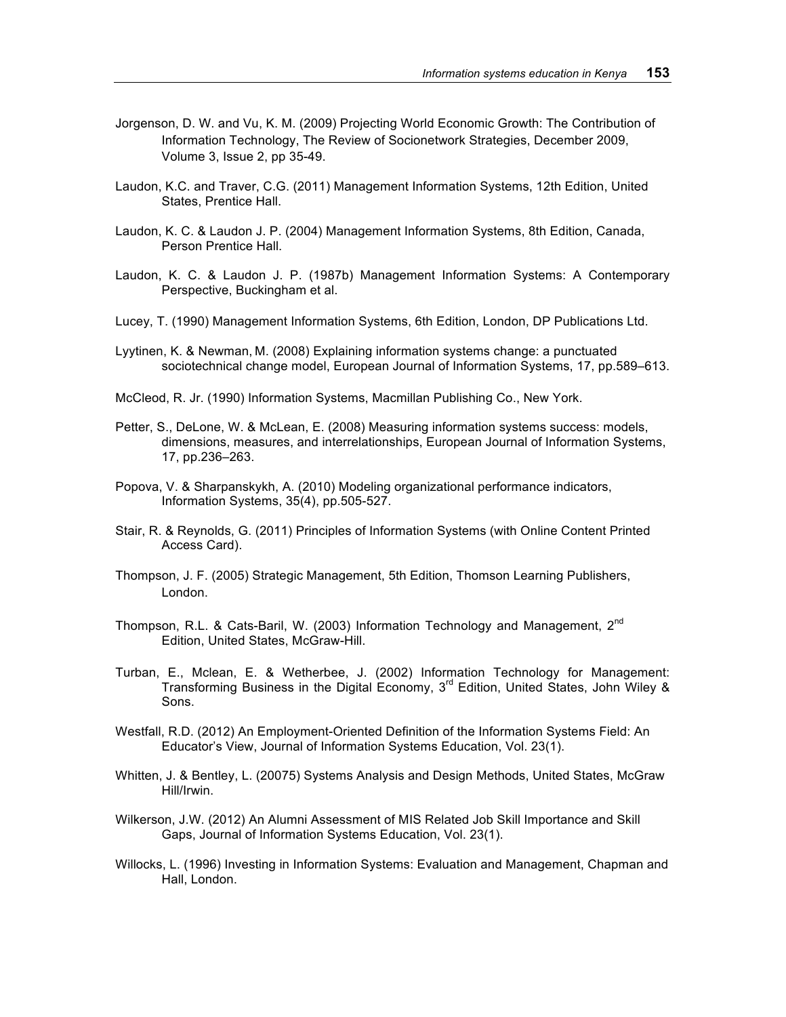- Jorgenson, D. W. and Vu, K. M. (2009) Projecting World Economic Growth: The Contribution of Information Technology, The Review of Socionetwork Strategies, December 2009, Volume 3, Issue 2, pp 35-49.
- Laudon, K.C. and Traver, C.G. (2011) Management Information Systems, 12th Edition, United States, Prentice Hall.
- Laudon, K. C. & Laudon J. P. (2004) Management Information Systems, 8th Edition, Canada, Person Prentice Hall.
- Laudon, K. C. & Laudon J. P. (1987b) Management Information Systems: A Contemporary Perspective, Buckingham et al.
- Lucey, T. (1990) Management Information Systems, 6th Edition, London, DP Publications Ltd.
- Lyytinen, K. & Newman, M. (2008) Explaining information systems change: a punctuated sociotechnical change model, European Journal of Information Systems, 17, pp.589–613.
- McCleod, R. Jr. (1990) Information Systems, Macmillan Publishing Co., New York.
- Petter, S., DeLone, W. & McLean, E. (2008) Measuring information systems success: models, dimensions, measures, and interrelationships, European Journal of Information Systems, 17, pp.236–263.
- Popova, V. & Sharpanskykh, A. (2010) Modeling organizational performance indicators, Information Systems, 35(4), pp.505-527.
- Stair, R. & Reynolds, G. (2011) Principles of Information Systems (with Online Content Printed Access Card).
- Thompson, J. F. (2005) Strategic Management, 5th Edition, Thomson Learning Publishers, London.
- Thompson, R.L. & Cats-Baril, W. (2003) Information Technology and Management, 2<sup>nd</sup> Edition, United States, McGraw-Hill.
- Turban, E., Mclean, E. & Wetherbee, J. (2002) Information Technology for Management: Transforming Business in the Digital Economy, 3<sup>rd</sup> Edition, United States, John Wiley & Sons.
- Westfall, R.D. (2012) An Employment-Oriented Definition of the Information Systems Field: An Educator's View, Journal of Information Systems Education, Vol. 23(1).
- Whitten, J. & Bentley, L. (20075) Systems Analysis and Design Methods, United States, McGraw Hill/Irwin.
- Wilkerson, J.W. (2012) An Alumni Assessment of MIS Related Job Skill Importance and Skill Gaps, Journal of Information Systems Education, Vol. 23(1).
- Willocks, L. (1996) Investing in Information Systems: Evaluation and Management, Chapman and Hall, London.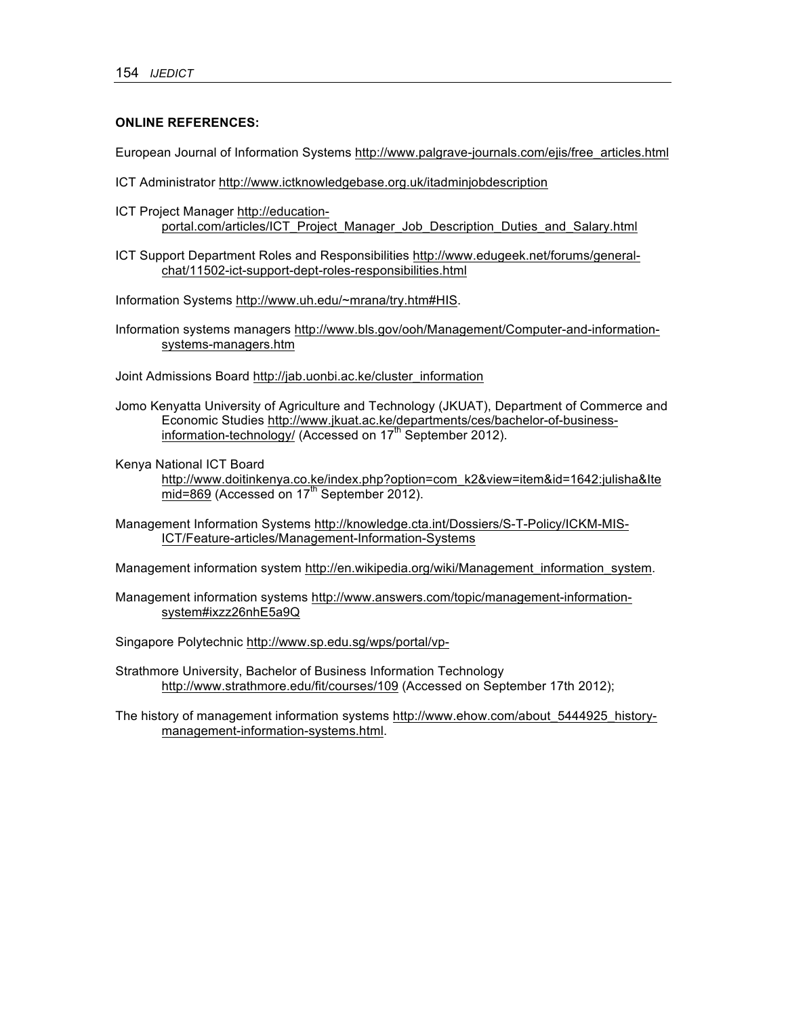### **ONLINE REFERENCES:**

European Journal of Information Systems http://www.palgrave-journals.com/ejis/free\_articles.html

- ICT Administrator http://www.ictknowledgebase.org.uk/itadminjobdescription
- ICT Project Manager http://educationportal.com/articles/ICT\_Project\_Manager\_Job\_Description\_Duties\_and\_Salary.html
- ICT Support Department Roles and Responsibilities http://www.edugeek.net/forums/generalchat/11502-ict-support-dept-roles-responsibilities.html
- Information Systems http://www.uh.edu/~mrana/try.htm#HIS.
- Information systems managers http://www.bls.gov/ooh/Management/Computer-and-informationsystems-managers.htm
- Joint Admissions Board http://jab.uonbi.ac.ke/cluster\_information
- Jomo Kenyatta University of Agriculture and Technology (JKUAT), Department of Commerce and Economic Studies http://www.jkuat.ac.ke/departments/ces/bachelor-of-businessinformation-technology/ (Accessed on 17<sup>th</sup> September 2012).

Kenya National ICT Board

http://www.doitinkenya.co.ke/index.php?option=com\_k2&view=item&id=1642:julisha&Ite  $mid=869$  (Accessed on  $17<sup>th</sup>$  September 2012).

Management Information Systems http://knowledge.cta.int/Dossiers/S-T-Policy/ICKM-MIS-ICT/Feature-articles/Management-Information-Systems

Management information system http://en.wikipedia.org/wiki/Management information system.

Management information systems http://www.answers.com/topic/management-informationsystem#ixzz26nhE5a9Q

Singapore Polytechnic http://www.sp.edu.sg/wps/portal/vp-

Strathmore University, Bachelor of Business Information Technology http://www.strathmore.edu/fit/courses/109 (Accessed on September 17th 2012);

The history of management information systems http://www.ehow.com/about\_5444925\_historymanagement-information-systems.html.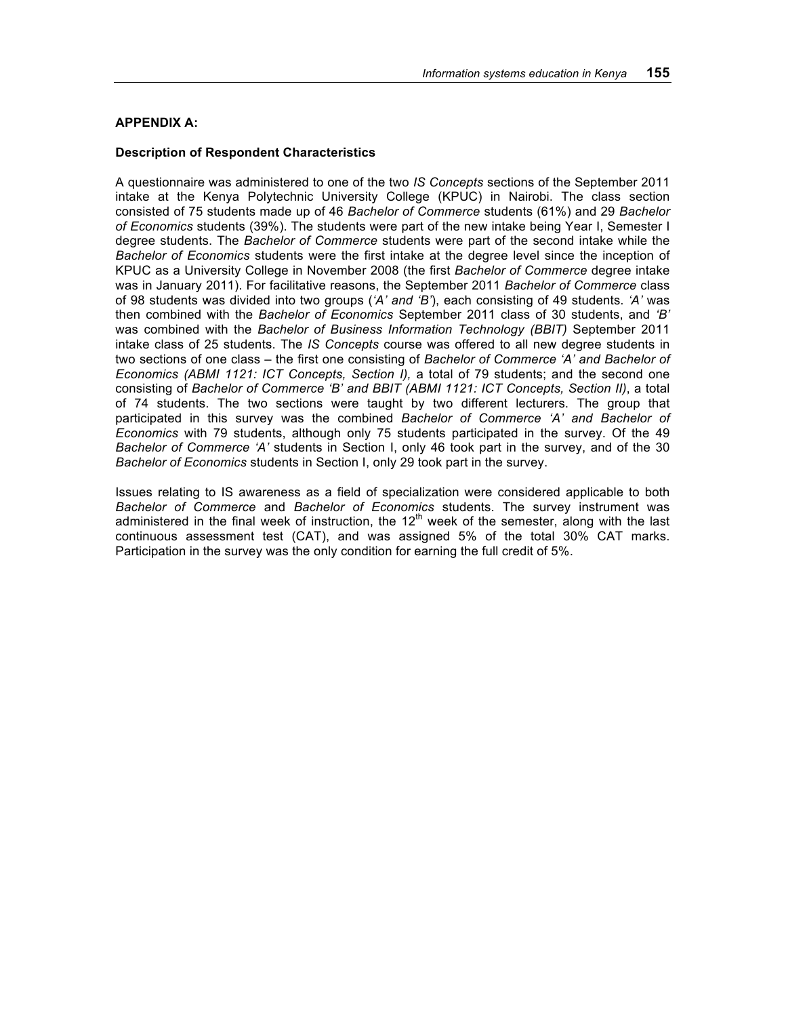### **APPENDIX A:**

### **Description of Respondent Characteristics**

A questionnaire was administered to one of the two *IS Concepts* sections of the September 2011 intake at the Kenya Polytechnic University College (KPUC) in Nairobi. The class section consisted of 75 students made up of 46 *Bachelor of Commerce* students (61%) and 29 *Bachelor of Economics* students (39%). The students were part of the new intake being Year I, Semester I degree students. The *Bachelor of Commerce* students were part of the second intake while the *Bachelor of Economics* students were the first intake at the degree level since the inception of KPUC as a University College in November 2008 (the first *Bachelor of Commerce* degree intake was in January 2011). For facilitative reasons, the September 2011 *Bachelor of Commerce* class of 98 students was divided into two groups (*'A' and 'B'*), each consisting of 49 students. *'A'* was then combined with the *Bachelor of Economics* September 2011 class of 30 students, and *'B'* was combined with the *Bachelor of Business Information Technology (BBIT)* September 2011 intake class of 25 students. The *IS Concepts* course was offered to all new degree students in two sections of one class – the first one consisting of *Bachelor of Commerce 'A' and Bachelor of Economics (ABMI 1121: ICT Concepts, Section I),* a total of 79 students; and the second one consisting of *Bachelor of Commerce 'B' and BBIT (ABMI 1121: ICT Concepts, Section II)*, a total of 74 students. The two sections were taught by two different lecturers. The group that participated in this survey was the combined *Bachelor of Commerce 'A' and Bachelor of Economics* with 79 students, although only 75 students participated in the survey. Of the 49 *Bachelor of Commerce 'A'* students in Section I, only 46 took part in the survey, and of the 30 *Bachelor of Economics* students in Section I, only 29 took part in the survey.

Issues relating to IS awareness as a field of specialization were considered applicable to both *Bachelor of Commerce* and *Bachelor of Economics* students. The survey instrument was administered in the final week of instruction, the  $12<sup>th</sup>$  week of the semester, along with the last continuous assessment test (CAT), and was assigned 5% of the total 30% CAT marks. Participation in the survey was the only condition for earning the full credit of 5%.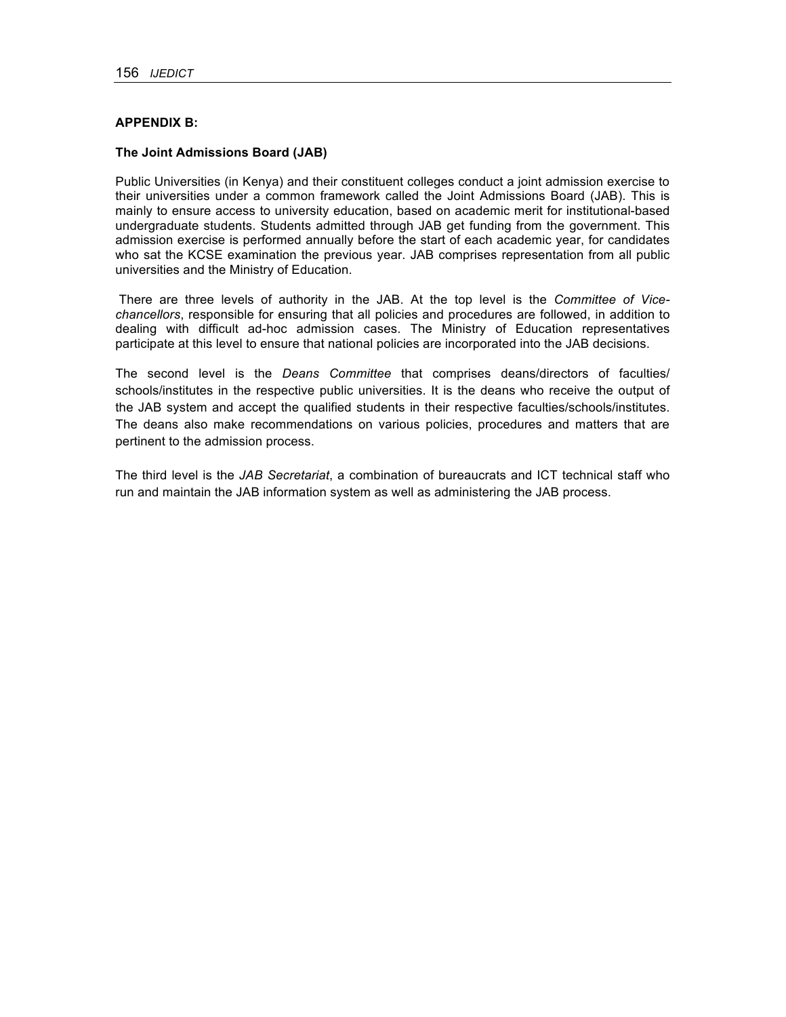### **APPENDIX B:**

### **The Joint Admissions Board (JAB)**

Public Universities (in Kenya) and their constituent colleges conduct a joint admission exercise to their universities under a common framework called the Joint Admissions Board (JAB). This is mainly to ensure access to university education, based on academic merit for institutional-based undergraduate students. Students admitted through JAB get funding from the government. This admission exercise is performed annually before the start of each academic year, for candidates who sat the KCSE examination the previous year. JAB comprises representation from all public universities and the Ministry of Education.

There are three levels of authority in the JAB. At the top level is the *Committee of Vicechancellors*, responsible for ensuring that all policies and procedures are followed, in addition to dealing with difficult ad-hoc admission cases. The Ministry of Education representatives participate at this level to ensure that national policies are incorporated into the JAB decisions.

The second level is the *Deans Committee* that comprises deans/directors of faculties/ schools/institutes in the respective public universities. It is the deans who receive the output of the JAB system and accept the qualified students in their respective faculties/schools/institutes. The deans also make recommendations on various policies, procedures and matters that are pertinent to the admission process.

The third level is the *JAB Secretariat*, a combination of bureaucrats and ICT technical staff who run and maintain the JAB information system as well as administering the JAB process.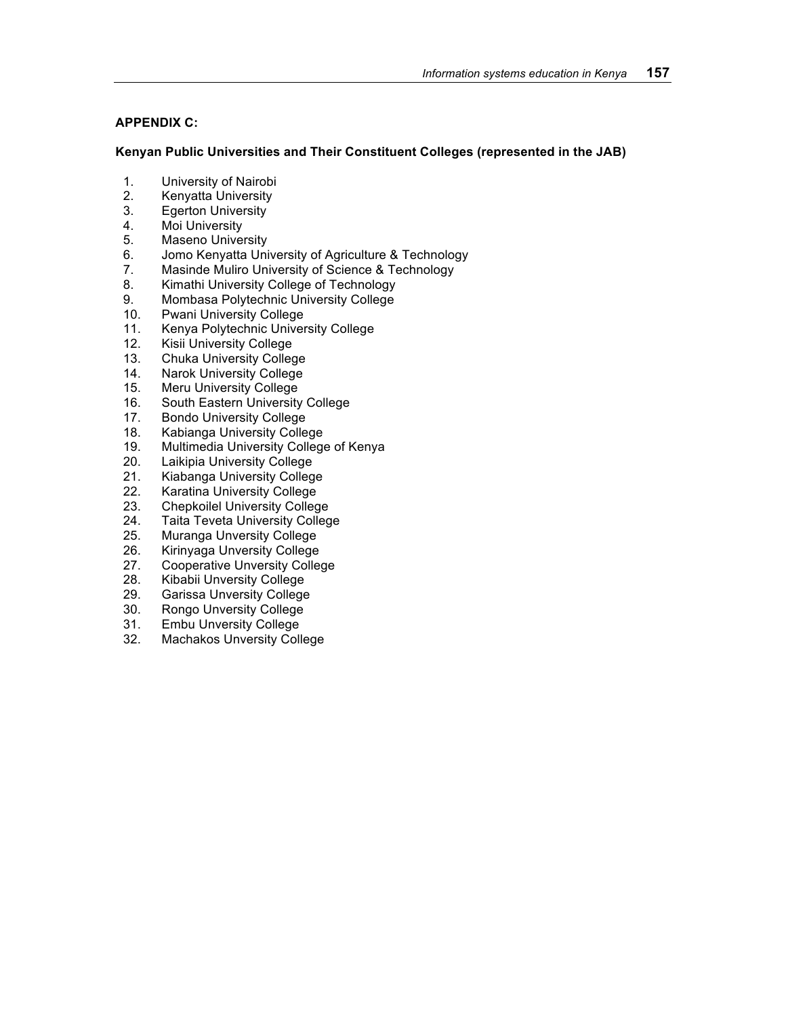# **APPENDIX C:**

## **Kenyan Public Universities and Their Constituent Colleges (represented in the JAB)**

- 1. University of Nairobi
- 2. Kenyatta University
- 3. Egerton University
- 4. Moi University
- 5. Maseno University
- 6. Jomo Kenyatta University of Agriculture & Technology
- 7. Masinde Muliro University of Science & Technology
- 8. Kimathi University College of Technology
- 9. Mombasa Polytechnic University College
- 10. Pwani University College
- 11. Kenya Polytechnic University College
- 12. Kisii University College
- 13. Chuka University College
- 14. Narok University College
- 15. Meru University College
- 16. South Eastern University College
- 17. Bondo University College
- 18. Kabianga University College
- 19. Multimedia University College of Kenya
- 20. Laikipia University College
- 21. Kiabanga University College
- 22. Karatina University College
- 23. Chepkoilel University College
- 24. Taita Teveta University College
- 25. Muranga Unversity College<br>26. Kirinyaga Unversity College
- Kirinyaga Unversity College
- 27. Cooperative Unversity College
- 28. Kibabii Unversity College
- 29. Garissa Unversity College
- 30. Rongo Unversity College
- 31. Embu Unversity College
- 32. Machakos Unversity College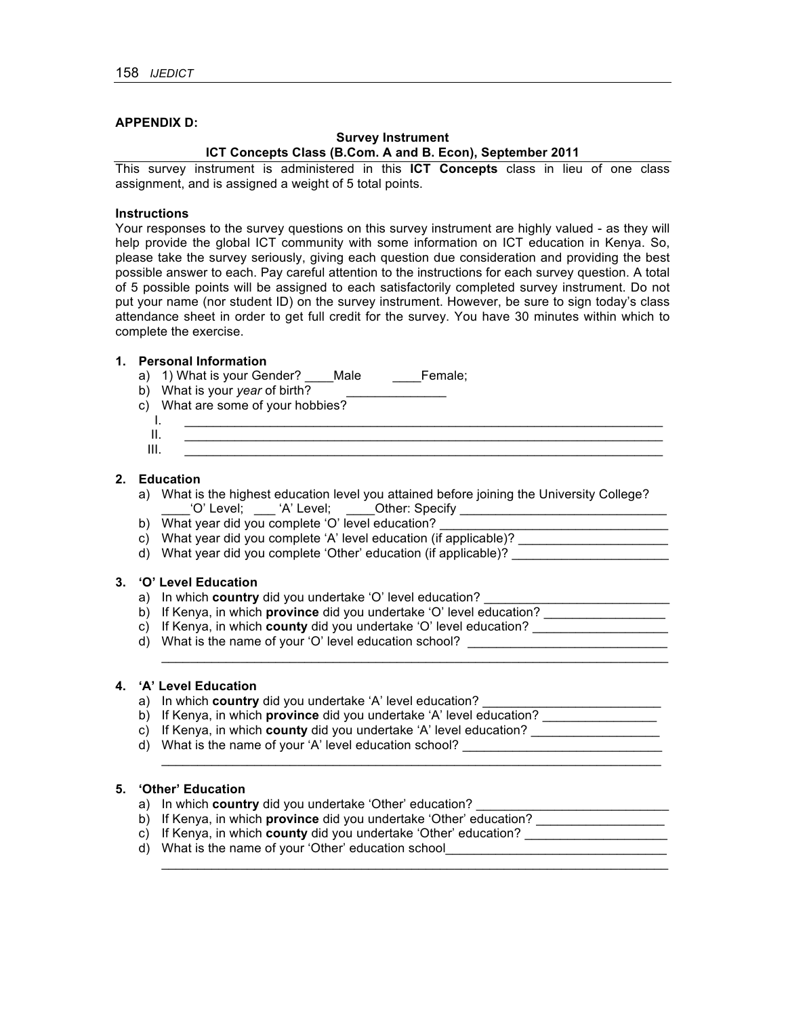### **APPENDIX D:**

### **Survey Instrument ICT Concepts Class (B.Com. A and B. Econ), September 2011**

This survey instrument is administered in this **ICT Concepts** class in lieu of one class assignment, and is assigned a weight of 5 total points.

#### **Instructions**

Your responses to the survey questions on this survey instrument are highly valued - as they will help provide the global ICT community with some information on ICT education in Kenya. So, please take the survey seriously, giving each question due consideration and providing the best possible answer to each. Pay careful attention to the instructions for each survey question. A total of 5 possible points will be assigned to each satisfactorily completed survey instrument. Do not put your name (nor student ID) on the survey instrument. However, be sure to sign today's class attendance sheet in order to get full credit for the survey. You have 30 minutes within which to complete the exercise.

#### **1. Personal Information**

- a) 1) What is your Gender? \_\_\_\_Male \_\_\_\_Female;
- b) What is your *year* of birth?

c) What are some of your hobbies?

- I. \_\_\_\_\_\_\_\_\_\_\_\_\_\_\_\_\_\_\_\_\_\_\_\_\_\_\_\_\_\_\_\_\_\_\_\_\_\_\_\_\_\_\_\_\_\_\_\_\_\_\_\_\_\_\_\_\_\_\_\_\_\_\_\_\_\_\_ II. \_\_\_\_\_\_\_\_\_\_\_\_\_\_\_\_\_\_\_\_\_\_\_\_\_\_\_\_\_\_\_\_\_\_\_\_\_\_\_\_\_\_\_\_\_\_\_\_\_\_\_\_\_\_\_\_\_\_\_\_\_\_\_\_\_\_\_
- III. \_\_\_\_\_\_\_\_\_\_\_\_\_\_\_\_\_\_\_\_\_\_\_\_\_\_\_\_\_\_\_\_\_\_\_\_\_\_\_\_\_\_\_\_\_\_\_\_\_\_\_\_\_\_\_\_\_\_\_\_\_\_\_\_\_\_\_

#### **2. Education**

- a) What is the highest education level you attained before joining the University College? \_\_\_\_'O' Level; \_\_\_ 'A' Level; \_\_\_\_Other: Specify \_\_\_\_\_\_\_\_\_\_\_\_\_\_\_\_\_\_\_\_\_\_\_\_\_\_\_\_\_
- b) What year did you complete 'O' level education? \_\_\_\_\_\_\_\_\_\_\_\_\_\_\_\_\_\_\_\_\_\_\_\_\_\_\_\_\_
- c) What year did you complete 'A' level education (if applicable)? \_\_\_\_\_\_\_\_\_\_\_\_\_\_
- d) What year did you complete 'Other' education (if applicable)?

 $\mathcal{L}_\text{max}$  and  $\mathcal{L}_\text{max}$  and  $\mathcal{L}_\text{max}$  and  $\mathcal{L}_\text{max}$  and  $\mathcal{L}_\text{max}$  and  $\mathcal{L}_\text{max}$ 

 $\mathcal{L}_\mathcal{L} = \mathcal{L}_\mathcal{L} = \mathcal{L}_\mathcal{L} = \mathcal{L}_\mathcal{L} = \mathcal{L}_\mathcal{L} = \mathcal{L}_\mathcal{L} = \mathcal{L}_\mathcal{L} = \mathcal{L}_\mathcal{L} = \mathcal{L}_\mathcal{L} = \mathcal{L}_\mathcal{L} = \mathcal{L}_\mathcal{L} = \mathcal{L}_\mathcal{L} = \mathcal{L}_\mathcal{L} = \mathcal{L}_\mathcal{L} = \mathcal{L}_\mathcal{L} = \mathcal{L}_\mathcal{L} = \mathcal{L}_\mathcal{L}$ 

 $\mathcal{L}_\text{max}$  , and the set of the set of the set of the set of the set of the set of the set of the set of the set of

#### **3. 'O' Level Education**

- a) In which **country** did you undertake 'O' level education?
- b) If Kenya, in which **province** did you undertake 'O' level education? \_\_\_\_\_\_\_\_\_\_\_\_\_\_\_\_\_
- c) If Kenya, in which **county** did you undertake 'O' level education?
- d) What is the name of your 'O' level education school? \_\_\_\_\_\_\_\_\_\_\_\_\_\_\_\_\_\_\_\_\_\_\_\_\_\_\_\_

# **4. 'A' Level Education**

- a) In which **country** did you undertake 'A' level education?
- b) If Kenya, in which **province** did you undertake 'A' level education? \_\_\_\_\_\_\_\_\_\_\_\_\_\_\_\_
- c) If Kenya, in which **county** did you undertake 'A' level education? \_\_\_\_\_\_\_\_\_\_\_\_\_\_\_\_\_\_
- d) What is the name of your 'A' level education school? \_\_\_\_\_\_\_\_\_\_\_\_\_\_\_\_\_\_\_\_\_\_\_\_\_\_\_\_

# **5. 'Other' Education**

- a) In which **country** did you undertake 'Other' education?
- b) If Kenya, in which **province** did you undertake 'Other' education? \_\_\_\_\_\_\_\_\_\_\_\_\_\_\_\_\_\_
- c) If Kenya, in which **county** did you undertake 'Other' education? \_\_\_\_\_\_\_\_\_\_\_\_\_\_\_\_\_\_\_\_
- d) What is the name of your 'Other' education school\_\_\_\_\_\_\_\_\_\_\_\_\_\_\_\_\_\_\_\_\_\_\_\_\_\_\_\_\_\_\_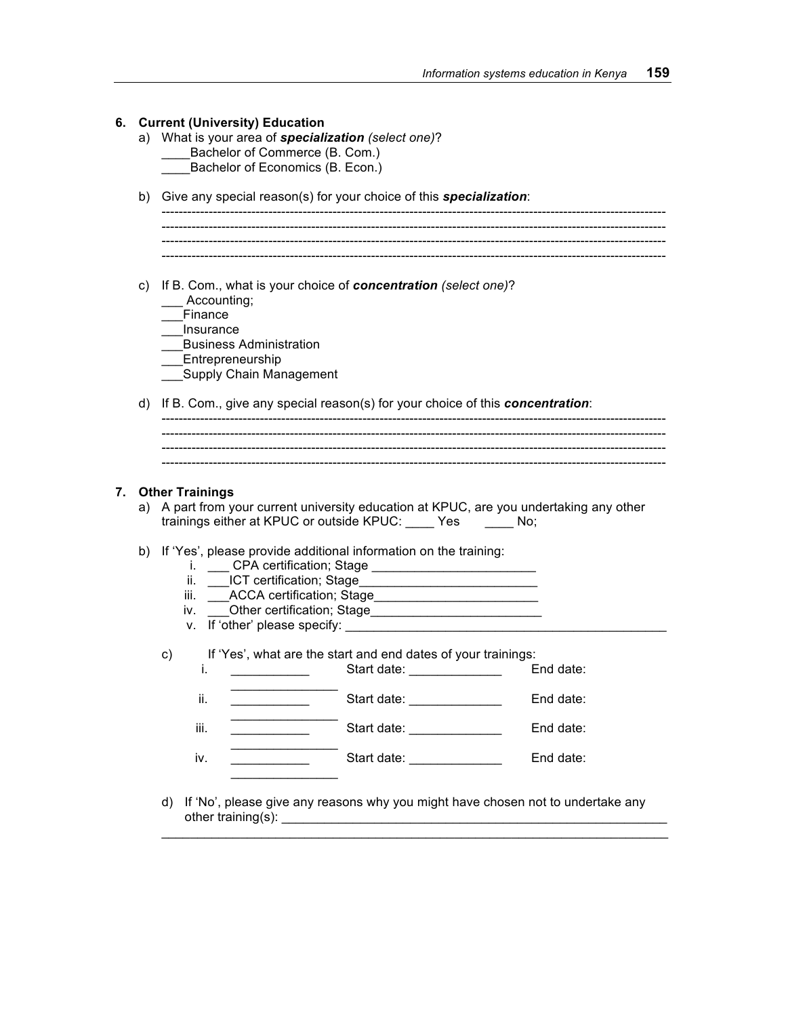|    | <b>Current (University) Education</b><br>a) What is your area of <b>specialization</b> (select one)?<br>Bachelor of Commerce (B. Com.)<br>Bachelor of Economics (B. Econ.)                                                            |
|----|---------------------------------------------------------------------------------------------------------------------------------------------------------------------------------------------------------------------------------------|
| b) | Give any special reason(s) for your choice of this specialization:                                                                                                                                                                    |
| c) | If B. Com., what is your choice of concentration (select one)?                                                                                                                                                                        |
|    | Accounting;                                                                                                                                                                                                                           |
|    | Finance<br>Insurance                                                                                                                                                                                                                  |
|    | <b>Business Administration</b>                                                                                                                                                                                                        |
|    | Entrepreneurship                                                                                                                                                                                                                      |
|    | Supply Chain Management                                                                                                                                                                                                               |
|    |                                                                                                                                                                                                                                       |
|    |                                                                                                                                                                                                                                       |
| d) | If B. Com., give any special reason(s) for your choice of this concentration:                                                                                                                                                         |
| a) | <b>Other Trainings</b><br>A part from your current university education at KPUC, are you undertaking any other<br>trainings either at KPUC or outside KPUC: _____ Yes _______ No;                                                     |
| b) | If 'Yes', please provide additional information on the training:                                                                                                                                                                      |
| 7. | Ĺ.                                                                                                                                                                                                                                    |
|    | __ICT certification; Stage_<br>ii.<br>iii.                                                                                                                                                                                            |
|    | Other certification; Stage expansion of the control of the control of the control of the control of the control of the control of the control of the control of the control of the control of the control of the control of th<br>iv. |
|    | v. If 'other' please specify:                                                                                                                                                                                                         |
|    | If 'Yes', what are the start and end dates of your trainings:<br>c)                                                                                                                                                                   |
|    | End date:<br>Start date: Start date:<br>İ.                                                                                                                                                                                            |
|    | End date:<br>ii.                                                                                                                                                                                                                      |
|    | Start date: _______________<br>End date:<br>iii.                                                                                                                                                                                      |

- 
- other training(s): \_\_\_\_\_\_\_\_\_\_\_\_\_\_\_\_\_\_\_\_\_\_\_\_\_\_\_\_\_\_\_\_\_\_\_\_\_\_\_\_\_\_\_\_\_\_\_\_\_\_\_\_\_\_  $\mathcal{L}_\mathcal{L} = \mathcal{L}_\mathcal{L} = \mathcal{L}_\mathcal{L} = \mathcal{L}_\mathcal{L} = \mathcal{L}_\mathcal{L} = \mathcal{L}_\mathcal{L} = \mathcal{L}_\mathcal{L} = \mathcal{L}_\mathcal{L} = \mathcal{L}_\mathcal{L} = \mathcal{L}_\mathcal{L} = \mathcal{L}_\mathcal{L} = \mathcal{L}_\mathcal{L} = \mathcal{L}_\mathcal{L} = \mathcal{L}_\mathcal{L} = \mathcal{L}_\mathcal{L} = \mathcal{L}_\mathcal{L} = \mathcal{L}_\mathcal{L}$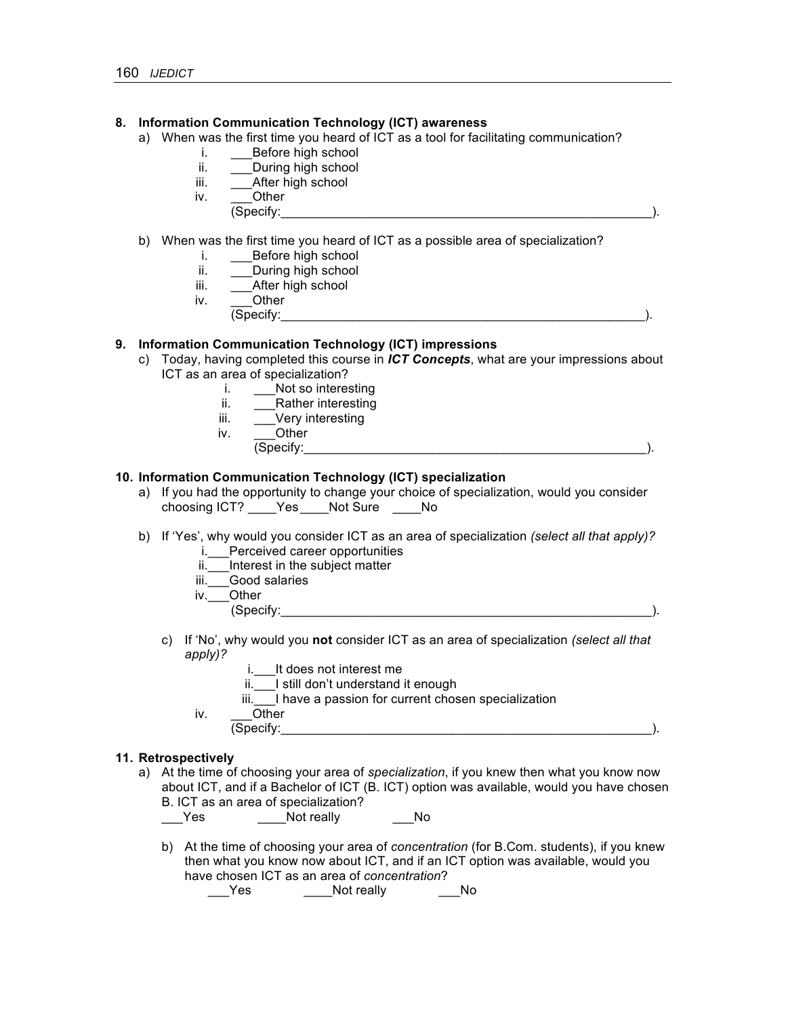### **8. Information Communication Technology (ICT) awareness**

- a) When was the first time you heard of ICT as a tool for facilitating communication?
	- i. Before high school
	- ii. \_\_\_\_\_During high school
	- iii. After high school
	- iv. Other
		- (Specify:\_\_\_\_\_\_\_\_\_\_\_\_\_\_\_\_\_\_\_\_\_\_\_\_\_\_\_\_\_\_\_\_\_\_\_\_\_\_\_\_\_\_\_\_\_\_\_\_\_\_\_\_).
- b) When was the first time you heard of ICT as a possible area of specialization?
	- i. Before high school
	- ii. During high school
	- iii. \_\_\_After high school
	- iv. \_\_\_Other
		- (Specify:\_\_\_\_\_\_\_\_\_\_\_\_\_\_\_\_\_\_\_\_\_\_\_\_\_\_\_\_\_\_\_\_\_\_\_\_\_\_\_\_\_\_\_\_\_\_\_\_\_\_\_).

### **9. Information Communication Technology (ICT) impressions**

- c) Today, having completed this course in *ICT Concepts*, what are your impressions about ICT as an area of specialization?
	- i. Not so interesting
	- ii. Rather interesting
	- iii. Very interesting
	- iv. Other
		- $(Specify:$

### **10. Information Communication Technology (ICT) specialization**

- a) If you had the opportunity to change your choice of specialization, would you consider choosing ICT? \_\_\_\_Yes\_\_\_\_Not Sure \_\_\_\_No
- b) If 'Yes', why would you consider ICT as an area of specialization *(select all that apply)?* 
	- i. Perceived career opportunities
	- ii. Interest in the subject matter
	- iii. Good salaries
	- iv. Other
		- $(Specify:$

- c) If 'No', why would you **not** consider ICT as an area of specialization *(select all that apply)?*
	- i.\_\_\_It does not interest me
	- ii.\_\_\_I still don't understand it enough
	- iii.<sup>1</sup> I have a passion for current chosen specialization
	- iv. Other  $(Specify:$

#### **11. Retrospectively**

a) At the time of choosing your area of *specialization*, if you knew then what you know now about ICT, and if a Bachelor of ICT (B. ICT) option was available, would you have chosen B. ICT as an area of specialization?

\_\_\_Yes \_\_\_\_\_\_Not really \_\_\_\_\_\_No

b) At the time of choosing your area of *concentration* (for B.Com. students), if you knew then what you know now about ICT, and if an ICT option was available, would you have chosen ICT as an area of *concentration*?

Yes Mot really Mo